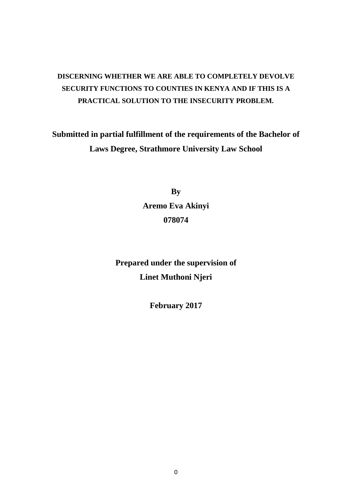# **DISCERNING WHETHER WE ARE ABLE TO COMPLETELY DEVOLVE SECURITY FUNCTIONS TO COUNTIES IN KENYA AND IF THIS IS A PRACTICAL SOLUTION TO THE INSECURITY PROBLEM.**

**Submitted in partial fulfillment of the requirements of the Bachelor of Laws Degree, Strathmore University Law School**

> **By Aremo Eva Akinyi 078074**

**Prepared under the supervision of Linet Muthoni Njeri** 

**February 2017**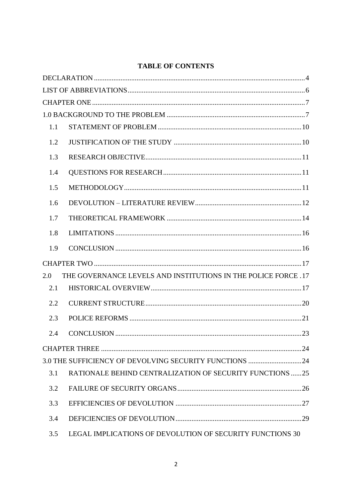# **TABLE OF CONTENTS**

| 1.1 |                                                                |  |
|-----|----------------------------------------------------------------|--|
| 1.2 |                                                                |  |
| 1.3 |                                                                |  |
| 1.4 |                                                                |  |
| 1.5 |                                                                |  |
| 1.6 |                                                                |  |
| 1.7 |                                                                |  |
| 1.8 |                                                                |  |
| 1.9 |                                                                |  |
|     |                                                                |  |
| 2.0 | THE GOVERNANCE LEVELS AND INSTITUTIONS IN THE POLICE FORCE .17 |  |
| 2.1 |                                                                |  |
| 2.2 |                                                                |  |
| 2.3 |                                                                |  |
| 2.4 |                                                                |  |
|     |                                                                |  |
|     | 3.0 THE SUFFICIENCY OF DEVOLVING SECURITY FUNCTIONS 24         |  |
| 3.1 | RATIONALE BEHIND CENTRALIZATION OF SECURITY FUNCTIONS 25       |  |
| 3.2 |                                                                |  |
| 3.3 |                                                                |  |
| 3.4 |                                                                |  |
|     | 3.5 LEGAL IMPLICATIONS OF DEVOLUTION OF SECURITY FUNCTIONS 30  |  |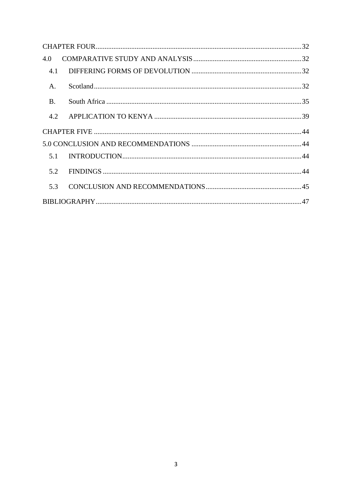| 4.0       |  |  |  |
|-----------|--|--|--|
| 4.1       |  |  |  |
| A.        |  |  |  |
| <b>B.</b> |  |  |  |
| 4.2       |  |  |  |
|           |  |  |  |
|           |  |  |  |
| 5.1       |  |  |  |
| 5.2       |  |  |  |
| 5.3       |  |  |  |
|           |  |  |  |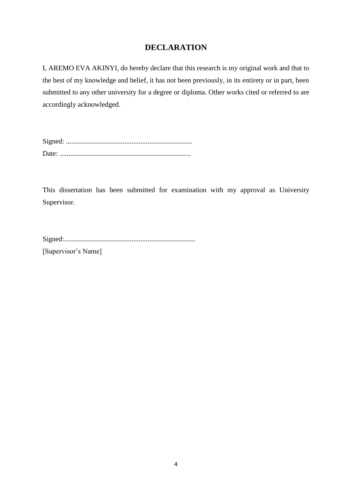# **DECLARATION**

<span id="page-3-0"></span>I, AREMO EVA AKINYI, do hereby declare that this research is my original work and that to the best of my knowledge and belief, it has not been previously, in its entirety or in part, been submitted to any other university for a degree or diploma. Other works cited or referred to are accordingly acknowledged.

Signed: ....................................................................... Date: ..........................................................................

This dissertation has been submitted for examination with my approval as University Supervisor.

Signed:..........................................................................

[Supervisor's Name]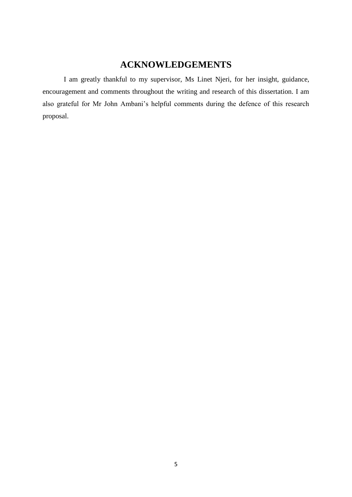# **ACKNOWLEDGEMENTS**

I am greatly thankful to my supervisor, Ms Linet Njeri, for her insight, guidance, encouragement and comments throughout the writing and research of this dissertation. I am also grateful for Mr John Ambani's helpful comments during the defence of this research proposal.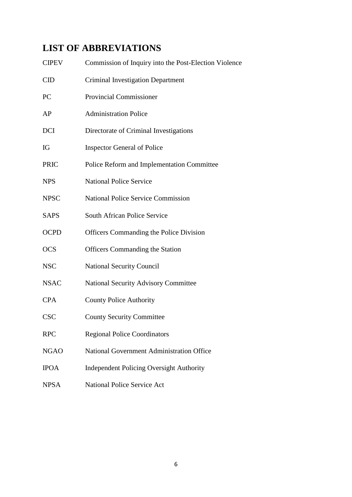# <span id="page-5-0"></span>**LIST OF ABBREVIATIONS**

| <b>CIPEV</b> | Commission of Inquiry into the Post-Election Violence |
|--------------|-------------------------------------------------------|
| CID          | <b>Criminal Investigation Department</b>              |
| PC           | <b>Provincial Commissioner</b>                        |
| AP           | <b>Administration Police</b>                          |
| <b>DCI</b>   | Directorate of Criminal Investigations                |
| IG           | <b>Inspector General of Police</b>                    |
| <b>PRIC</b>  | Police Reform and Implementation Committee            |
| <b>NPS</b>   | <b>National Police Service</b>                        |
| <b>NPSC</b>  | <b>National Police Service Commission</b>             |
| <b>SAPS</b>  | South African Police Service                          |
| <b>OCPD</b>  | <b>Officers Commanding the Police Division</b>        |
| <b>OCS</b>   | <b>Officers Commanding the Station</b>                |
| <b>NSC</b>   | <b>National Security Council</b>                      |
| <b>NSAC</b>  | <b>National Security Advisory Committee</b>           |
| <b>CPA</b>   | <b>County Police Authority</b>                        |
| <b>CSC</b>   | <b>County Security Committee</b>                      |
| <b>RPC</b>   | <b>Regional Police Coordinators</b>                   |
| <b>NGAO</b>  | <b>National Government Administration Office</b>      |
| <b>IPOA</b>  | <b>Independent Policing Oversight Authority</b>       |
| <b>NPSA</b>  | <b>National Police Service Act</b>                    |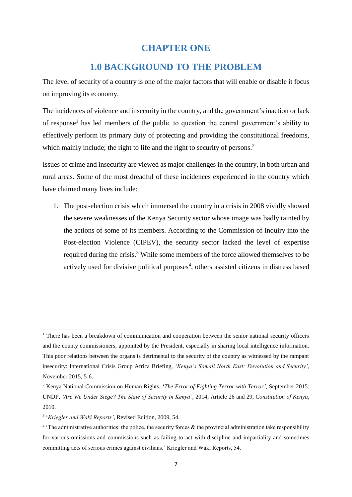# **CHAPTER ONE**

# **1.0 BACKGROUND TO THE PROBLEM**

<span id="page-6-1"></span><span id="page-6-0"></span>The level of security of a country is one of the major factors that will enable or disable it focus on improving its economy.

The incidences of violence and insecurity in the country, and the government's inaction or lack of response<sup>1</sup> has led members of the public to question the central government's ability to effectively perform its primary duty of protecting and providing the constitutional freedoms, which mainly include; the right to life and the right to security of persons.<sup>2</sup>

Issues of crime and insecurity are viewed as major challenges in the country, in both urban and rural areas. Some of the most dreadful of these incidences experienced in the country which have claimed many lives include:

1. The post-election crisis which immersed the country in a crisis in 2008 vividly showed the severe weaknesses of the Kenya Security sector whose image was badly tainted by the actions of some of its members. According to the Commission of Inquiry into the Post-election Violence (CIPEV), the security sector lacked the level of expertise required during the crisis.<sup>3</sup> While some members of the force allowed themselves to be actively used for divisive political purposes<sup>4</sup>, others assisted citizens in distress based

<sup>&</sup>lt;sup>1</sup> There has been a breakdown of communication and cooperation between the senior national security officers and the county commissioners, appointed by the President, especially in sharing local intelligence information. This poor relations between the organs is detrimental to the security of the country as witnessed by the rampant insecurity: International Crisis Group Africa Briefing, *'Kenya's Somali North East: Devolution and Security'*, November 2015, 5-6.

<sup>2</sup> Kenya National Commission on Human Rights, '*The Error of Fighting Terror with Terror',* September 2015: UNDP, *'Are We Under Siege? The State of Security in Kenya'*, 2014; Article 26 and 29, *Constitution of Kenya*, 2010.

<sup>3</sup> '*Kriegler and Waki Reports'*, Revised Edition, 2009, 54.

<sup>&</sup>lt;sup>4</sup> The administrative authorities: the police, the security forces & the provincial administration take responsibility for various omissions and commissions such as failing to act with discipline and impartiality and sometimes committing acts of serious crimes against civilians.' Kriegler and Waki Reports, 54.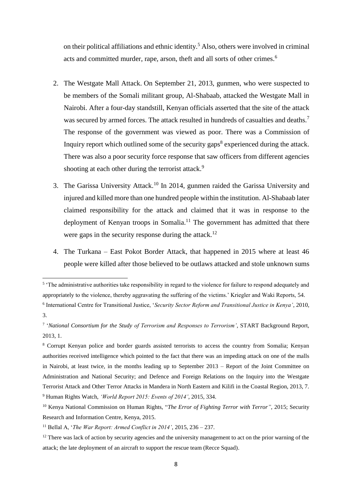on their political affiliations and ethnic identity. <sup>5</sup> Also, others were involved in criminal acts and committed murder, rape, arson, theft and all sorts of other crimes.<sup>6</sup>

- 2. The Westgate Mall Attack. On September 21, 2013, gunmen, who were suspected to be members of the Somali militant group, Al-Shabaab, attacked the Westgate Mall in Nairobi. After a four-day standstill, Kenyan officials asserted that the site of the attack was secured by armed forces. The attack resulted in hundreds of casualties and deaths.<sup>7</sup> The response of the government was viewed as poor. There was a Commission of Inquiry report which outlined some of the security gaps $8$  experienced during the attack. There was also a poor security force response that saw officers from different agencies shooting at each other during the terrorist attack.<sup>9</sup>
- 3. The Garissa University Attack.<sup>10</sup> In 2014, gunmen raided the Garissa University and injured and killed more than one hundred people within the institution. Al-Shabaab later claimed responsibility for the attack and claimed that it was in response to the deployment of Kenyan troops in Somalia.<sup>11</sup> The government has admitted that there were gaps in the security response during the attack.<sup>12</sup>
- 4. The Turkana East Pokot Border Attack, that happened in 2015 where at least 46 people were killed after those believed to be outlaws attacked and stole unknown sums

**.** 

<sup>&</sup>lt;sup>5</sup> 'The administrative authorities take responsibility in regard to the violence for failure to respond adequately and appropriately to the violence, thereby aggravating the suffering of the victims.' Kriegler and Waki Reports, 54.

<sup>6</sup> International Centre for Transitional Justice, '*Security Sector Reform and Transitional Justice in Kenya'*, 2010, 3.

<sup>7</sup> '*National Consortium for the Study of Terrorism and Responses to Terrorism'*, START Background Report, 2013, 1.

<sup>8</sup> Corrupt Kenyan police and border guards assisted terrorists to access the country from Somalia; Kenyan authorities received intelligence which pointed to the fact that there was an impeding attack on one of the malls in Nairobi, at least twice, in the months leading up to September 2013 – Report of the Joint Committee on Administration and National Security; and Defence and Foreign Relations on the Inquiry into the Westgate Terrorist Attack and Other Terror Attacks in Mandera in North Eastern and Kilifi in the Coastal Region, 2013, 7. <sup>9</sup> Human Rights Watch, *'World Report 2015: Events of 2014'*, 2015, 334.

<sup>&</sup>lt;sup>10</sup> Kenya National Commission on Human Rights, "The Error of Fighting Terror with Terror", 2015; Security Research and Information Centre, Kenya, 2015.

<sup>11</sup> Bellal A, '*The War Report: Armed Conflict in 2014'*, 2015, 236 – 237.

 $12$  There was lack of action by security agencies and the university management to act on the prior warning of the attack; the late deployment of an aircraft to support the rescue team (Recce Squad).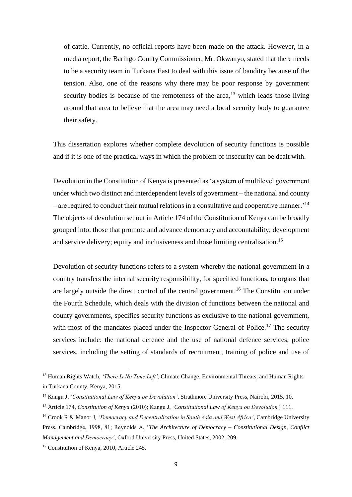of cattle. Currently, no official reports have been made on the attack. However, in a media report, the Baringo County Commissioner, Mr. Okwanyo, stated that there needs to be a security team in Turkana East to deal with this issue of banditry because of the tension. Also, one of the reasons why there may be poor response by government security bodies is because of the remoteness of the area,  $13$  which leads those living around that area to believe that the area may need a local security body to guarantee their safety.

This dissertation explores whether complete devolution of security functions is possible and if it is one of the practical ways in which the problem of insecurity can be dealt with.

Devolution in the Constitution of Kenya is presented as 'a system of multilevel government under which two distinct and interdependent levels of government – the national and county – are required to conduct their mutual relations in a consultative and cooperative manner.<sup>14</sup> The objects of devolution set out in Article 174 of the Constitution of Kenya can be broadly grouped into: those that promote and advance democracy and accountability; development and service delivery; equity and inclusiveness and those limiting centralisation.<sup>15</sup>

Devolution of security functions refers to a system whereby the national government in a country transfers the internal security responsibility, for specified functions, to organs that are largely outside the direct control of the central government.<sup>16</sup> The Constitution under the Fourth Schedule, which deals with the division of functions between the national and county governments, specifies security functions as exclusive to the national government, with most of the mandates placed under the Inspector General of Police.<sup>17</sup> The security services include: the national defence and the use of national defence services, police services, including the setting of standards of recruitment, training of police and use of

<sup>13</sup> Human Rights Watch, *'There Is No Time Left'*, Climate Change, Environmental Threats, and Human Rights in Turkana County, Kenya, 2015.

<sup>14</sup> Kangu J, '*Constitutional Law of Kenya on Devolution'*, Strathmore University Press, Nairobi, 2015, 10.

<sup>15</sup> Article 174, *Constitution of Kenya* (2010); Kangu J, '*Constitutional Law of Kenya on Devolution',* 111.

<sup>16</sup> Crook R & Manor J*, 'Democracy and Decentralization in South Asia and West Africa'*, Cambridge University Press, Cambridge, 1998, 81; Reynolds A, '*The Architecture of Democracy – Constitutional Design, Conflict Management and Democracy'*, Oxford University Press, United States, 2002, 209.

<sup>&</sup>lt;sup>17</sup> Constitution of Kenya, 2010, Article 245.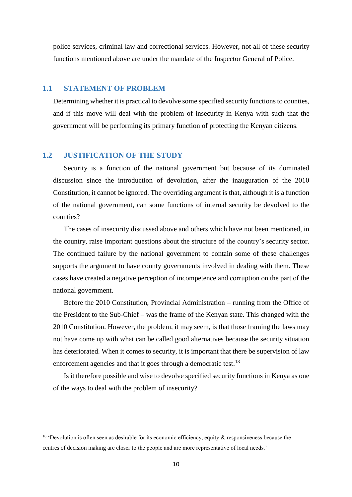police services, criminal law and correctional services. However, not all of these security functions mentioned above are under the mandate of the Inspector General of Police.

# <span id="page-9-0"></span>**1.1 STATEMENT OF PROBLEM**

Determining whether it is practical to devolve some specified security functions to counties, and if this move will deal with the problem of insecurity in Kenya with such that the government will be performing its primary function of protecting the Kenyan citizens.

# <span id="page-9-1"></span>**1.2 JUSTIFICATION OF THE STUDY**

1

Security is a function of the national government but because of its dominated discussion since the introduction of devolution, after the inauguration of the 2010 Constitution, it cannot be ignored. The overriding argument is that, although it is a function of the national government, can some functions of internal security be devolved to the counties?

The cases of insecurity discussed above and others which have not been mentioned, in the country, raise important questions about the structure of the country's security sector. The continued failure by the national government to contain some of these challenges supports the argument to have county governments involved in dealing with them. These cases have created a negative perception of incompetence and corruption on the part of the national government.

Before the 2010 Constitution, Provincial Administration – running from the Office of the President to the Sub-Chief – was the frame of the Kenyan state. This changed with the 2010 Constitution. However, the problem, it may seem, is that those framing the laws may not have come up with what can be called good alternatives because the security situation has deteriorated. When it comes to security, it is important that there be supervision of law enforcement agencies and that it goes through a democratic test.<sup>18</sup>

Is it therefore possible and wise to devolve specified security functions in Kenya as one of the ways to deal with the problem of insecurity?

 $18$  'Devolution is often seen as desirable for its economic efficiency, equity & responsiveness because the centres of decision making are closer to the people and are more representative of local needs.'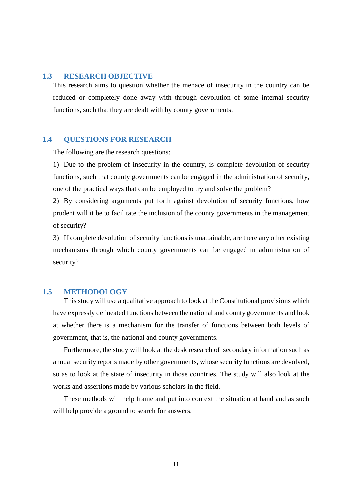#### <span id="page-10-0"></span>**1.3 RESEARCH OBJECTIVE**

This research aims to question whether the menace of insecurity in the country can be reduced or completely done away with through devolution of some internal security functions, such that they are dealt with by county governments.

#### <span id="page-10-1"></span>**1.4 QUESTIONS FOR RESEARCH**

The following are the research questions:

1) Due to the problem of insecurity in the country, is complete devolution of security functions, such that county governments can be engaged in the administration of security, one of the practical ways that can be employed to try and solve the problem?

2) By considering arguments put forth against devolution of security functions, how prudent will it be to facilitate the inclusion of the county governments in the management of security?

3) If complete devolution of security functions is unattainable, are there any other existing mechanisms through which county governments can be engaged in administration of security?

#### <span id="page-10-2"></span>**1.5 METHODOLOGY**

This study will use a qualitative approach to look at the Constitutional provisions which have expressly delineated functions between the national and county governments and look at whether there is a mechanism for the transfer of functions between both levels of government, that is, the national and county governments.

Furthermore, the study will look at the desk research of secondary information such as annual security reports made by other governments, whose security functions are devolved, so as to look at the state of insecurity in those countries. The study will also look at the works and assertions made by various scholars in the field.

These methods will help frame and put into context the situation at hand and as such will help provide a ground to search for answers.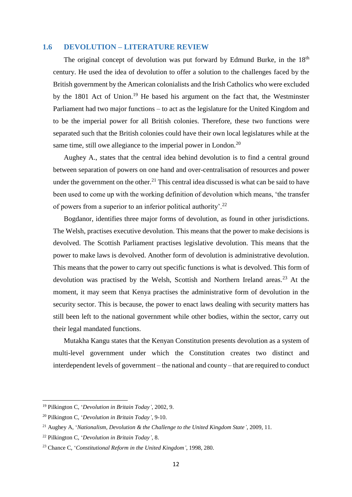#### <span id="page-11-0"></span>**1.6 DEVOLUTION – LITERATURE REVIEW**

The original concept of devolution was put forward by Edmund Burke, in the  $18<sup>th</sup>$ century. He used the idea of devolution to offer a solution to the challenges faced by the British government by the American colonialists and the Irish Catholics who were excluded by the 1801 Act of Union.<sup>19</sup> He based his argument on the fact that, the Westminster Parliament had two major functions – to act as the legislature for the United Kingdom and to be the imperial power for all British colonies. Therefore, these two functions were separated such that the British colonies could have their own local legislatures while at the same time, still owe allegiance to the imperial power in London.<sup>20</sup>

Aughey A., states that the central idea behind devolution is to find a central ground between separation of powers on one hand and over-centralisation of resources and power under the government on the other.<sup>21</sup> This central idea discussed is what can be said to have been used to come up with the working definition of devolution which means, 'the transfer of powers from a superior to an inferior political authority'.<sup>22</sup>

Bogdanor, identifies three major forms of devolution, as found in other jurisdictions. The Welsh, practises executive devolution. This means that the power to make decisions is devolved. The Scottish Parliament practises legislative devolution. This means that the power to make laws is devolved. Another form of devolution is administrative devolution. This means that the power to carry out specific functions is what is devolved. This form of devolution was practised by the Welsh, Scottish and Northern Ireland areas.<sup>23</sup> At the moment, it may seem that Kenya practises the administrative form of devolution in the security sector. This is because, the power to enact laws dealing with security matters has still been left to the national government while other bodies, within the sector, carry out their legal mandated functions.

Mutakha Kangu states that the Kenyan Constitution presents devolution as a system of multi-level government under which the Constitution creates two distinct and interdependent levels of government – the national and county – that are required to conduct

<sup>19</sup> Pilkington C, '*Devolution in Britain Today'*, 2002, 9.

<sup>20</sup> Pilkington C, '*Devolution in Britain Today'*, 9-10.

<sup>21</sup> Aughey A, '*Nationalism, Devolution & the Challenge to the United Kingdom State'*, 2009, 11.

<sup>22</sup> Pilkington C, '*Devolution in Britain Today'*, 8.

<sup>23</sup> Chance C, '*Constitutional Reform in the United Kingdom'*, 1998, 280.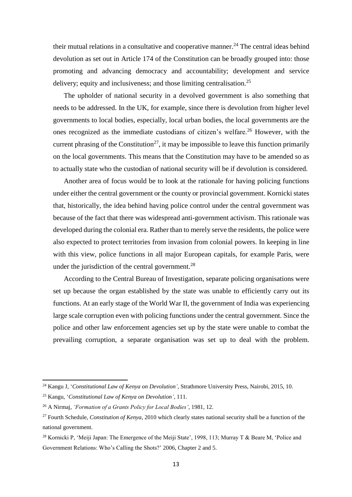their mutual relations in a consultative and cooperative manner.<sup>24</sup> The central ideas behind devolution as set out in Article 174 of the Constitution can be broadly grouped into: those promoting and advancing democracy and accountability; development and service delivery; equity and inclusiveness; and those limiting centralisation.<sup>25</sup>

The upholder of national security in a devolved government is also something that needs to be addressed. In the UK, for example, since there is devolution from higher level governments to local bodies, especially, local urban bodies, the local governments are the ones recognized as the immediate custodians of citizen's welfare.<sup>26</sup> However, with the current phrasing of the Constitution<sup>27</sup>, it may be impossible to leave this function primarily on the local governments. This means that the Constitution may have to be amended so as to actually state who the custodian of national security will be if devolution is considered.

Another area of focus would be to look at the rationale for having policing functions under either the central government or the county or provincial government. Kornicki states that, historically, the idea behind having police control under the central government was because of the fact that there was widespread anti-government activism. This rationale was developed during the colonial era. Rather than to merely serve the residents, the police were also expected to protect territories from invasion from colonial powers. In keeping in line with this view, police functions in all major European capitals, for example Paris, were under the jurisdiction of the central government.<sup>28</sup>

According to the Central Bureau of Investigation, separate policing organisations were set up because the organ established by the state was unable to efficiently carry out its functions. At an early stage of the World War II, the government of India was experiencing large scale corruption even with policing functions under the central government. Since the police and other law enforcement agencies set up by the state were unable to combat the prevailing corruption, a separate organisation was set up to deal with the problem.

<sup>24</sup> Kangu J, '*Constitutional Law of Kenya on Devolution'*, Strathmore University Press, Nairobi, 2015, 10.

<sup>25</sup> Kangu, '*Constitutional Law of Kenya on Devolution'*, 111.

<sup>26</sup> A Nirmaj, *'Formation of a Grants Policy for Local Bodies'*, 1981, 12.

<sup>27</sup> Fourth Schedule, *Constitution of Kenya*, 2010 which clearly states national security shall be a function of the national government.

<sup>&</sup>lt;sup>28</sup> Kornicki P, 'Meiji Japan: The Emergence of the Meiji State', 1998, 113; Murray T & Beare M, 'Police and Government Relations: Who's Calling the Shots?' 2006, Chapter 2 and 5.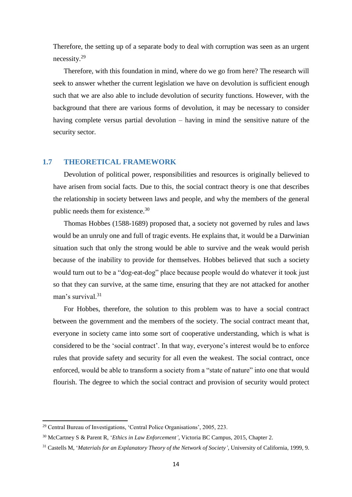Therefore, the setting up of a separate body to deal with corruption was seen as an urgent necessity.<sup>29</sup>

Therefore, with this foundation in mind, where do we go from here? The research will seek to answer whether the current legislation we have on devolution is sufficient enough such that we are also able to include devolution of security functions. However, with the background that there are various forms of devolution, it may be necessary to consider having complete versus partial devolution – having in mind the sensitive nature of the security sector.

# <span id="page-13-0"></span>**1.7 THEORETICAL FRAMEWORK**

Devolution of political power, responsibilities and resources is originally believed to have arisen from social facts. Due to this, the social contract theory is one that describes the relationship in society between laws and people, and why the members of the general public needs them for existence.<sup>30</sup>

Thomas Hobbes (1588-1689) proposed that, a society not governed by rules and laws would be an unruly one and full of tragic events. He explains that, it would be a Darwinian situation such that only the strong would be able to survive and the weak would perish because of the inability to provide for themselves. Hobbes believed that such a society would turn out to be a "dog-eat-dog" place because people would do whatever it took just so that they can survive, at the same time, ensuring that they are not attacked for another man's survival.<sup>31</sup>

For Hobbes, therefore, the solution to this problem was to have a social contract between the government and the members of the society. The social contract meant that, everyone in society came into some sort of cooperative understanding, which is what is considered to be the 'social contract'. In that way, everyone's interest would be to enforce rules that provide safety and security for all even the weakest. The social contract, once enforced, would be able to transform a society from a "state of nature" into one that would flourish. The degree to which the social contract and provision of security would protect

<sup>&</sup>lt;sup>29</sup> Central Bureau of Investigations, 'Central Police Organisations', 2005, 223.

<sup>30</sup> McCartney S & Parent R, '*Ethics in Law Enforcement'*, Victoria BC Campus, 2015, Chapter 2.

<sup>31</sup> Castells M, '*Materials for an Explanatory Theory of the Network of Society'*, University of California, 1999, 9.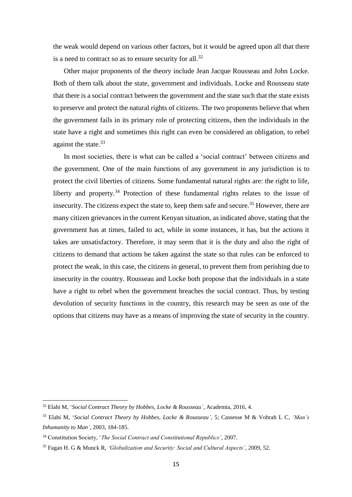the weak would depend on various other factors, but it would be agreed upon all that there is a need to contract so as to ensure security for all.<sup>32</sup>

Other major proponents of the theory include Jean Jacque Rousseau and John Locke. Both of them talk about the state, government and individuals. Locke and Rousseau state that there is a social contract between the government and the state such that the state exists to preserve and protect the natural rights of citizens. The two proponents believe that when the government fails in its primary role of protecting citizens, then the individuals in the state have a right and sometimes this right can even be considered an obligation, to rebel against the state. 33

In most societies, there is what can be called a 'social contract' between citizens and the government. One of the main functions of any government in any jurisdiction is to protect the civil liberties of citizens. Some fundamental natural rights are: the right to life, liberty and property.<sup>34</sup> Protection of these fundamental rights relates to the issue of insecurity. The citizens expect the state to, keep them safe and secure.<sup>35</sup> However, there are many citizen grievances in the current Kenyan situation, as indicated above, stating that the government has at times, failed to act, while in some instances, it has, but the actions it takes are unsatisfactory. Therefore, it may seem that it is the duty and also the right of citizens to demand that actions be taken against the state so that rules can be enforced to protect the weak, in this case, the citizens in general, to prevent them from perishing due to insecurity in the country. Rousseau and Locke both propose that the individuals in a state have a right to rebel when the government breaches the social contract. Thus, by testing devolution of security functions in the country, this research may be seen as one of the options that citizens may have as a means of improving the state of security in the country.

<sup>32</sup> Elahi M, '*Social Contract Theory by Hobbes, Locke & Rousseau'*, Academia, 2016, 4.

<sup>33</sup> Elahi M, '*Social Contract Theory by Hobbes, Locke & Rousseau'*, 5; Cassesse M & Vohrah L C*, 'Man's Inhumanity to Man'*, 2003, 184-185.

<sup>34</sup> Constitution Society, '*The Social Contract and Constitutional Republics'*, 2007.

<sup>35</sup> Fagan H. G & Munck R, *'Globalization and Security: Social and Cultural Aspects'*, 2009, 52.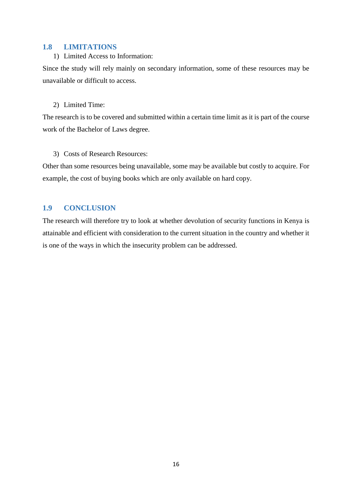### <span id="page-15-0"></span>**1.8 LIMITATIONS**

#### 1) Limited Access to Information:

Since the study will rely mainly on secondary information, some of these resources may be unavailable or difficult to access.

## 2) Limited Time:

The research is to be covered and submitted within a certain time limit as it is part of the course work of the Bachelor of Laws degree.

### 3) Costs of Research Resources:

Other than some resources being unavailable, some may be available but costly to acquire. For example, the cost of buying books which are only available on hard copy.

# <span id="page-15-1"></span>**1.9 CONCLUSION**

The research will therefore try to look at whether devolution of security functions in Kenya is attainable and efficient with consideration to the current situation in the country and whether it is one of the ways in which the insecurity problem can be addressed.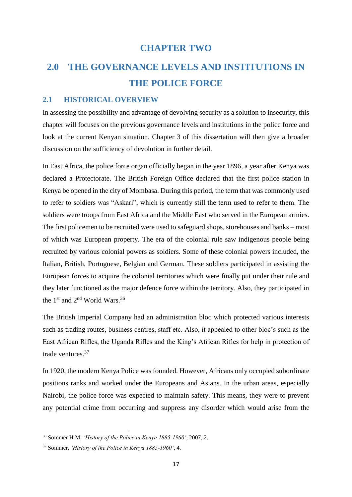# **CHAPTER TWO**

# <span id="page-16-1"></span><span id="page-16-0"></span>**2.0 THE GOVERNANCE LEVELS AND INSTITUTIONS IN THE POLICE FORCE**

#### <span id="page-16-2"></span>**2.1 HISTORICAL OVERVIEW**

In assessing the possibility and advantage of devolving security as a solution to insecurity, this chapter will focuses on the previous governance levels and institutions in the police force and look at the current Kenyan situation. Chapter 3 of this dissertation will then give a broader discussion on the sufficiency of devolution in further detail.

In East Africa, the police force organ officially began in the year 1896, a year after Kenya was declared a Protectorate. The British Foreign Office declared that the first police station in Kenya be opened in the city of Mombasa. During this period, the term that was commonly used to refer to soldiers was "Askari", which is currently still the term used to refer to them. The soldiers were troops from East Africa and the Middle East who served in the European armies. The first policemen to be recruited were used to safeguard shops, storehouses and banks – most of which was European property. The era of the colonial rule saw indigenous people being recruited by various colonial powers as soldiers. Some of these colonial powers included, the Italian, British, Portuguese, Belgian and German. These soldiers participated in assisting the European forces to acquire the colonial territories which were finally put under their rule and they later functioned as the major defence force within the territory. Also, they participated in the 1<sup>st</sup> and 2<sup>nd</sup> World Wars.<sup>36</sup>

The British Imperial Company had an administration bloc which protected various interests such as trading routes, business centres, staff etc. Also, it appealed to other bloc's such as the East African Rifles, the Uganda Rifles and the King's African Rifles for help in protection of trade ventures.<sup>37</sup>

In 1920, the modern Kenya Police was founded. However, Africans only occupied subordinate positions ranks and worked under the Europeans and Asians. In the urban areas, especially Nairobi, the police force was expected to maintain safety. This means, they were to prevent any potential crime from occurring and suppress any disorder which would arise from the

<sup>36</sup> Sommer H M, *'History of the Police in Kenya 1885-1960'*, 2007, 2.

<sup>37</sup> Sommer, *'History of the Police in Kenya 1885-1960'*, 4.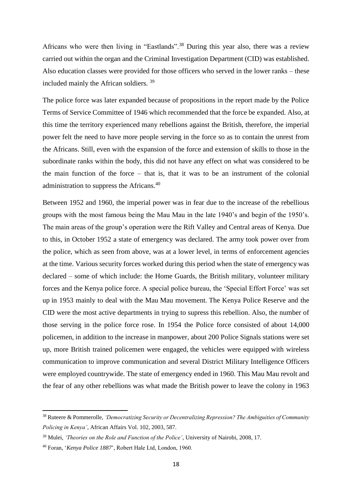Africans who were then living in "Eastlands".<sup>38</sup> During this year also, there was a review carried out within the organ and the Criminal Investigation Department (CID) was established. Also education classes were provided for those officers who served in the lower ranks – these included mainly the African soldiers. <sup>39</sup>

The police force was later expanded because of propositions in the report made by the Police Terms of Service Committee of 1946 which recommended that the force be expanded. Also, at this time the territory experienced many rebellions against the British, therefore, the imperial power felt the need to have more people serving in the force so as to contain the unrest from the Africans. Still, even with the expansion of the force and extension of skills to those in the subordinate ranks within the body, this did not have any effect on what was considered to be the main function of the force – that is, that it was to be an instrument of the colonial administration to suppress the Africans.<sup>40</sup>

Between 1952 and 1960, the imperial power was in fear due to the increase of the rebellious groups with the most famous being the Mau Mau in the late 1940's and begin of the 1950's. The main areas of the group's operation were the Rift Valley and Central areas of Kenya. Due to this, in October 1952 a state of emergency was declared. The army took power over from the police, which as seen from above, was at a lower level, in terms of enforcement agencies at the time. Various security forces worked during this period when the state of emergency was declared – some of which include: the Home Guards, the British military, volunteer military forces and the Kenya police force. A special police bureau, the 'Special Effort Force' was set up in 1953 mainly to deal with the Mau Mau movement. The Kenya Police Reserve and the CID were the most active departments in trying to supress this rebellion. Also, the number of those serving in the police force rose. In 1954 the Police force consisted of about 14,000 policemen, in addition to the increase in manpower, about 200 Police Signals stations were set up, more British trained policemen were engaged, the vehicles were equipped with wireless communication to improve communication and several District Military Intelligence Officers were employed countrywide. The state of emergency ended in 1960. This Mau Mau revolt and the fear of any other rebellions was what made the British power to leave the colony in 1963

<sup>38</sup> Ruteere & Pommerolle, *'Democratizing Security or Decentralizing Repression? The Ambiguities of Community Policing in Kenya'*, African Affairs Vol. 102, 2003, 587.

<sup>39</sup> Mulei, *'Theories on the Role and Function of the Police'*, University of Nairobi, 2008, 17.

<sup>40</sup> Foran, '*Kenya Police 1887*', Robert Hale Ltd, London, 1960.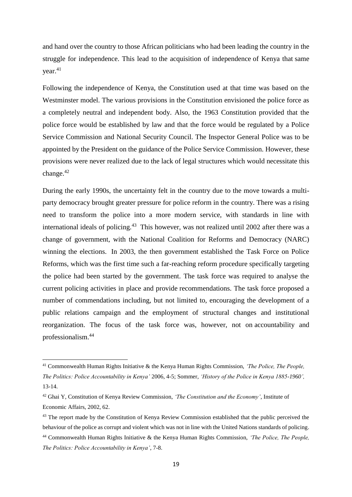and hand over the country to those African politicians who had been leading the country in the struggle for independence. This lead to the acquisition of independence of Kenya that same year.<sup>41</sup>

Following the independence of Kenya, the Constitution used at that time was based on the Westminster model. The various provisions in the Constitution envisioned the police force as a completely neutral and independent body. Also, the 1963 Constitution provided that the police force would be established by law and that the force would be regulated by a Police Service Commission and National Security Council. The Inspector General Police was to be appointed by the President on the guidance of the Police Service Commission. However, these provisions were never realized due to the lack of legal structures which would necessitate this change. 42

During the early 1990s, the uncertainty felt in the country due to the move towards a multiparty democracy brought greater pressure for police reform in the country. There was a rising need to transform the police into a more modern service, with standards in line with international ideals of policing.<sup>43</sup> This however, was not realized until 2002 after there was a change of government, with the National Coalition for Reforms and Democracy (NARC) winning the elections. In 2003, the then government established the Task Force on Police Reforms, which was the first time such a far-reaching reform procedure specifically targeting the police had been started by the government. The task force was required to analyse the current policing activities in place and provide recommendations. The task force proposed a number of commendations including, but not limited to, encouraging the development of a public relations campaign and the employment of structural changes and institutional reorganization. The focus of the task force was, however, not on accountability and professionalism.<sup>44</sup>

**.** 

<sup>41</sup> Commonwealth Human Rights Initiative & the Kenya Human Rights Commission, *'The Police, The People, The Politics: Police Accountability in Kenya'* 2006, 4-5; Sommer, *'History of the Police in Kenya 1885-1960',*  13-14.

<sup>42</sup> Ghai Y, Constitution of Kenya Review Commission, *'The Constitution and the Economy'*, Institute of Economic Affairs, 2002, 62.

<sup>&</sup>lt;sup>43</sup> The report made by the Constitution of Kenya Review Commission established that the public perceived the behaviour of the police as corrupt and violent which was not in line with the United Nations standards of policing. <sup>44</sup> Commonwealth Human Rights Initiative & the Kenya Human Rights Commission, *'The Police, The People, The Politics: Police Accountability in Kenya'*, 7-8.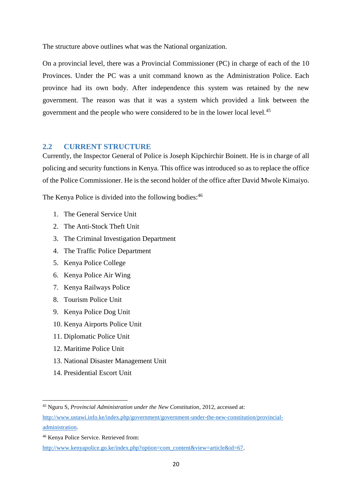The structure above outlines what was the National organization.

On a provincial level, there was a Provincial Commissioner (PC) in charge of each of the 10 Provinces. Under the PC was a unit command known as the Administration Police. Each province had its own body. After independence this system was retained by the new government. The reason was that it was a system which provided a link between the government and the people who were considered to be in the lower local level.<sup>45</sup>

### <span id="page-19-0"></span>**2.2 CURRENT STRUCTURE**

Currently, the Inspector General of Police is Joseph Kipchirchir Boinett. He is in charge of all policing and security functions in Kenya. This office was introduced so as to replace the office of the Police Commissioner. He is the second holder of the office after David Mwole Kimaiyo.

The Kenya Police is divided into the following bodies:  $46$ 

- 1. The General Service Unit
- 2. The Anti-Stock Theft Unit
- 3. The Criminal Investigation Department
- 4. The Traffic Police Department
- 5. Kenya Police College
- 6. Kenya Police Air Wing
- 7. Kenya Railways Police
- 8. Tourism Police Unit
- 9. Kenya Police Dog Unit
- 10. Kenya Airports Police Unit
- 11. Diplomatic Police Unit
- 12. Maritime Police Unit
- 13. National Disaster Management Unit
- 14. Presidential Escort Unit

<sup>45</sup> Nguru S, *Provincial Administration under the New Constitution*, 2012, accessed at:

[http://www.ustawi.info.ke/index.php/government/government-under-the-new-constitution/provincial](http://www.ustawi.info.ke/index.php/government/government-under-the-new-constitution/provincial-administration)[administration.](http://www.ustawi.info.ke/index.php/government/government-under-the-new-constitution/provincial-administration)

<sup>46</sup> Kenya Police Service. Retrieved from:

[http://www.kenyapolice.go.ke/index.php?option=com\\_content&view=article&id=67.](http://www.kenyapolice.go.ke/index.php?option=com_content&view=article&id=67)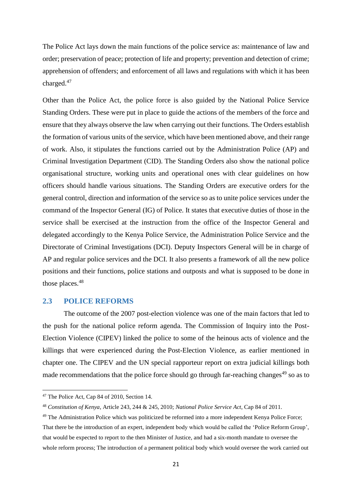The Police Act lays down the main functions of the police service as: maintenance of law and order; preservation of peace; protection of life and property; prevention and detection of crime; apprehension of offenders; and enforcement of all laws and regulations with which it has been charged.<sup>47</sup>

Other than the Police Act, the police force is also guided by the National Police Service Standing Orders. These were put in place to guide the actions of the members of the force and ensure that they always observe the law when carrying out their functions. The Orders establish the formation of various units of the service, which have been mentioned above, and their range of work. Also, it stipulates the functions carried out by the Administration Police (AP) and Criminal Investigation Department (CID). The Standing Orders also show the national police organisational structure, working units and operational ones with clear guidelines on how officers should handle various situations. The Standing Orders are executive orders for the general control, direction and information of the service so as to unite police services under the command of the Inspector General (IG) of Police. It states that executive duties of those in the service shall be exercised at the instruction from the office of the Inspector General and delegated accordingly to the Kenya Police Service, the Administration Police Service and the Directorate of Criminal Investigations (DCI). Deputy Inspectors General will be in charge of AP and regular police services and the DCI. It also presents a framework of all the new police positions and their functions, police stations and outposts and what is supposed to be done in those places.<sup>48</sup>

### <span id="page-20-0"></span>**2.3 POLICE REFORMS**

The outcome of the 2007 post-election violence was one of the main factors that led to the push for the national police reform agenda. The Commission of Inquiry into the Post-Election Violence (CIPEV) linked the police to some of the heinous acts of violence and the killings that were experienced during the Post-Election Violence, as earlier mentioned in chapter one. The CIPEV and the UN special rapporteur report on extra judicial killings both made recommendations that the police force should go through far-reaching changes<sup>49</sup> so as to

 $\overline{a}$ 

<sup>47</sup> The Police Act, Cap 84 of 2010, Section 14.

<sup>48</sup> *Constitution of Kenya*, Article 243, 244 & 245, 2010; *National Police Service Act*, Cap 84 of 2011.

<sup>&</sup>lt;sup>49</sup> The Administration Police which was politicized be reformed into a more independent Kenya Police Force; That there be the introduction of an expert, independent body which would be called the 'Police Reform Group', that would be expected to report to the then Minister of Justice, and had a six-month mandate to oversee the whole reform process; The introduction of a permanent political body which would oversee the work carried out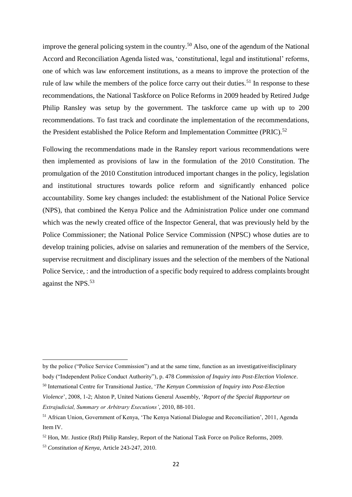improve the general policing system in the country.<sup>50</sup> Also, one of the agendum of the National Accord and Reconciliation Agenda listed was, 'constitutional, legal and institutional' reforms, one of which was law enforcement institutions, as a means to improve the protection of the rule of law while the members of the police force carry out their duties.<sup>51</sup> In response to these recommendations, the National Taskforce on Police Reforms in 2009 headed by Retired Judge Philip Ransley was setup by the government. The taskforce came up with up to 200 recommendations. To fast track and coordinate the implementation of the recommendations, the President established the Police Reform and Implementation Committee (PRIC).<sup>52</sup>

Following the recommendations made in the Ransley report various recommendations were then implemented as provisions of law in the formulation of the 2010 Constitution. The promulgation of the 2010 Constitution introduced important changes in the policy, legislation and institutional structures towards police reform and significantly enhanced police accountability. Some key changes included: the establishment of the National Police Service (NPS), that combined the Kenya Police and the Administration Police under one command which was the newly created office of the Inspector General, that was previously held by the Police Commissioner; the National Police Service Commission (NPSC) whose duties are to develop training policies, advise on salaries and remuneration of the members of the Service, supervise recruitment and disciplinary issues and the selection of the members of the National Police Service, : and the introduction of a specific body required to address complaints brought against the NPS.<sup>53</sup>

**.** 

by the police ("Police Service Commission") and at the same time, function as an investigative/disciplinary body ("Independent Police Conduct Authority"), p. 478 *Commission of Inquiry into Post-Election Violence*. <sup>50</sup> International Centre for Transitional Justice, '*The Kenyan Commission of Inquiry into Post-Election* 

*Violence*', 2008, 1-2; Alston P, United Nations General Assembly, '*Report of the Special Rapporteur on Extrajudicial, Summary or Arbitrary Executions'*, 2010, 88-101.

<sup>51</sup> African Union, Government of Kenya, 'The Kenya National Dialogue and Reconciliation', 2011, Agenda Item IV.

<sup>52</sup> Hon, Mr. Justice (Rtd) Philip Ransley, Report of the National Task Force on Police Reforms, 2009.

<sup>53</sup> *Constitution of Kenya*, Article 243-247, 2010.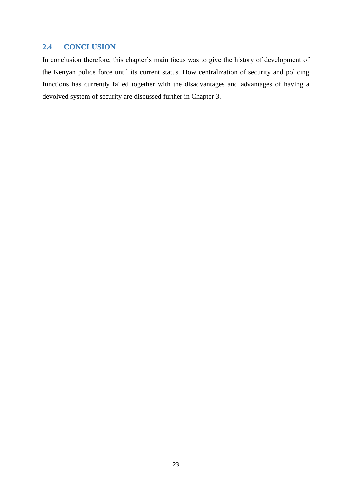# <span id="page-22-0"></span>**2.4 CONCLUSION**

In conclusion therefore, this chapter's main focus was to give the history of development of the Kenyan police force until its current status. How centralization of security and policing functions has currently failed together with the disadvantages and advantages of having a devolved system of security are discussed further in Chapter 3.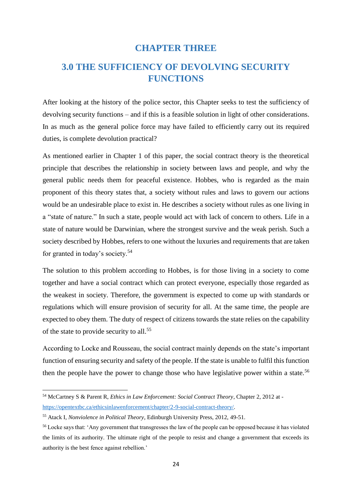# **CHAPTER THREE**

# <span id="page-23-1"></span><span id="page-23-0"></span>**3.0 THE SUFFICIENCY OF DEVOLVING SECURITY FUNCTIONS**

After looking at the history of the police sector, this Chapter seeks to test the sufficiency of devolving security functions – and if this is a feasible solution in light of other considerations. In as much as the general police force may have failed to efficiently carry out its required duties, is complete devolution practical?

As mentioned earlier in Chapter 1 of this paper, the social contract theory is the theoretical principle that describes the relationship in society between laws and people, and why the general public needs them for peaceful existence. Hobbes, who is regarded as the main proponent of this theory states that, a society without rules and laws to govern our actions would be an undesirable place to exist in. He describes a society without rules as one living in a "state of nature." In such a state, people would act with lack of concern to others. Life in a state of nature would be Darwinian, where the strongest survive and the weak perish. Such a society described by Hobbes, refers to one without the luxuries and requirements that are taken for granted in today's society.<sup>54</sup>

The solution to this problem according to Hobbes, is for those living in a society to come together and have a social contract which can protect everyone, especially those regarded as the weakest in society. Therefore, the government is expected to come up with standards or regulations which will ensure provision of security for all. At the same time, the people are expected to obey them. The duty of respect of citizens towards the state relies on the capability of the state to provide security to all.<sup>55</sup>

According to Locke and Rousseau, the social contract mainly depends on the state's important function of ensuring security and safety of the people. If the state is unable to fulfil this function then the people have the power to change those who have legislative power within a state.<sup>56</sup>

 $\overline{a}$ 

<sup>54</sup> McCartney S & Parent R, *Ethics in Law Enforcement: Social Contract Theory*, Chapter 2, 2012 at [https://opentextbc.ca/ethicsinlawenforcement/chapter/2-9-social-contract-theory/.](https://opentextbc.ca/ethicsinlawenforcement/chapter/2-9-social-contract-theory/) 

<sup>55</sup> Atack I, *Nonviolence in Political Theory*, Edinburgh University Press, 2012, 49-51.

<sup>56</sup> Locke says that: 'Any government that transgresses the law of the people can be opposed because it has violated the limits of its authority. The ultimate right of the people to resist and change a government that exceeds its authority is the best fence against rebellion.'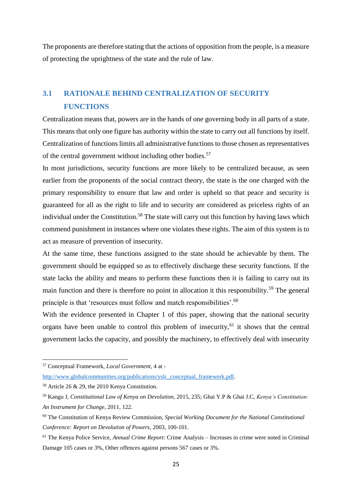The proponents are therefore stating that the actions of opposition from the people, is a measure of protecting the uprightness of the state and the rule of law.

# <span id="page-24-0"></span>**3.1 RATIONALE BEHIND CENTRALIZATION OF SECURITY FUNCTIONS**

Centralization means that, powers are in the hands of one governing body in all parts of a state. This means that only one figure has authority within the state to carry out all functions by itself. Centralization of functions limits all administrative functions to those chosen as representatives of the central government without including other bodies.<sup>57</sup>

In most jurisdictions, security functions are more likely to be centralized because, as seen earlier from the proponents of the social contract theory, the state is the one charged with the primary responsibility to ensure that law and order is upheld so that peace and security is guaranteed for all as the right to life and to security are considered as priceless rights of an individual under the Constitution.<sup>58</sup> The state will carry out this function by having laws which commend punishment in instances where one violates these rights. The aim of this system is to act as measure of prevention of insecurity.

At the same time, these functions assigned to the state should be achievable by them. The government should be equipped so as to effectively discharge these security functions. If the state lacks the ability and means to perform these functions then it is failing to carry out its main function and there is therefore no point in allocation it this responsibility.<sup>59</sup> The general principle is that 'resources must follow and match responsibilities'.<sup>60</sup>

With the evidence presented in Chapter 1 of this paper, showing that the national security organs have been unable to control this problem of insecurity,  $61$  it shows that the central government lacks the capacity, and possibly the machinery, to effectively deal with insecurity

**.** 

<sup>57</sup> Conceptual Framework, *Local Government*, 4 at -

[http://www.globalcommunities.org/publications/yslc\\_conceptual\\_framework.pdf.](http://www.globalcommunities.org/publications/yslc_conceptual_framework.pdf)

<sup>58</sup> Article 26 & 29, the 2010 Kenya Constitution.

<sup>59</sup> Kangu J, *Constitutional Law of Kenya on Devolution*, 2015, 235; Ghai Y.P & Ghai J.C, *Kenya's Constitution: An Instrument for Change*, 2011, 122.

<sup>60</sup> The Constitution of Kenya Review Commission, *Special Working Document for the National Constitutional Conference: Report on Devolution of Powers*, 2003, 100-101.

<sup>61</sup> The Kenya Police Service, *Annual Crime Report*: Crime Analysis – Increases in crime were noted in Criminal Damage 105 cases or 3%, Other offences against persons 567 cases or 3%.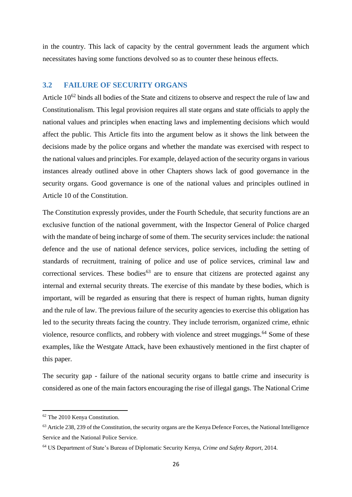in the country. This lack of capacity by the central government leads the argument which necessitates having some functions devolved so as to counter these heinous effects.

#### <span id="page-25-0"></span>**3.2 FAILURE OF SECURITY ORGANS**

Article 10<sup>62</sup> binds all bodies of the State and citizens to observe and respect the rule of law and Constitutionalism. This legal provision requires all state organs and state officials to apply the national values and principles when enacting laws and implementing decisions which would affect the public. This Article fits into the argument below as it shows the link between the decisions made by the police organs and whether the mandate was exercised with respect to the national values and principles. For example, delayed action of the security organs in various instances already outlined above in other Chapters shows lack of good governance in the security organs. Good governance is one of the national values and principles outlined in Article 10 of the Constitution.

The Constitution expressly provides, under the Fourth Schedule, that security functions are an exclusive function of the national government, with the Inspector General of Police charged with the mandate of being incharge of some of them. The security services include: the national defence and the use of national defence services, police services, including the setting of standards of recruitment, training of police and use of police services, criminal law and correctional services. These bodies<sup>63</sup> are to ensure that citizens are protected against any internal and external security threats. The exercise of this mandate by these bodies, which is important, will be regarded as ensuring that there is respect of human rights, human dignity and the rule of law. The previous failure of the security agencies to exercise this obligation has led to the security threats facing the country. They include terrorism, organized crime, ethnic violence, resource conflicts, and robbery with violence and street muggings.<sup>64</sup> Some of these examples, like the Westgate Attack, have been exhaustively mentioned in the first chapter of this paper.

The security gap - failure of the national security organs to battle crime and insecurity is considered as one of the main factors encouraging the rise of illegal gangs. The National Crime

<sup>62</sup> The 2010 Kenya Constitution.

<sup>&</sup>lt;sup>63</sup> Article 238, 239 of the Constitution, the security organs are the Kenya Defence Forces, the National Intelligence Service and the National Police Service.

<sup>64</sup> US Department of State's Bureau of Diplomatic Security Kenya, *Crime and Safety Report*, 2014.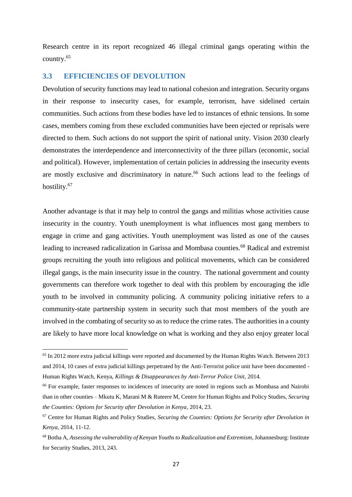Research centre in its report recognized 46 illegal criminal gangs operating within the country.<sup>65</sup>

### <span id="page-26-0"></span>**3.3 EFFICIENCIES OF DEVOLUTION**

1

Devolution of security functions may lead to national cohesion and integration. Security organs in their response to insecurity cases, for example, terrorism, have sidelined certain communities. Such actions from these bodies have led to instances of ethnic tensions. In some cases, members coming from these excluded communities have been ejected or reprisals were directed to them. Such actions do not support the spirit of national unity. Vision 2030 clearly demonstrates the interdependence and interconnectivity of the three pillars (economic, social and political). However, implementation of certain policies in addressing the insecurity events are mostly exclusive and discriminatory in nature.<sup>66</sup> Such actions lead to the feelings of hostility.<sup>67</sup>

Another advantage is that it may help to control the gangs and militias whose activities cause insecurity in the country. Youth unemployment is what influences most gang members to engage in crime and gang activities. Youth unemployment was listed as one of the causes leading to increased radicalization in Garissa and Mombasa counties.<sup>68</sup> Radical and extremist groups recruiting the youth into religious and political movements, which can be considered illegal gangs, is the main insecurity issue in the country. The national government and county governments can therefore work together to deal with this problem by encouraging the idle youth to be involved in community policing. A community policing initiative refers to a community-state partnership system in security such that most members of the youth are involved in the combating of security so as to reduce the crime rates. The authorities in a county are likely to have more local knowledge on what is working and they also enjoy greater local

 $65$  In 2012 more extra judicial killings were reported and documented by the Human Rights Watch. Between 2013 and 2014, 10 cases of extra judicial killings perpetrated by the Anti-Terrorist police unit have been documented - Human Rights Watch, Kenya, *Killings & Disappearances by Anti-Terror Police Unit,* 2014.

<sup>&</sup>lt;sup>66</sup> For example, faster responses to incidences of insecurity are noted in regions such as Mombasa and Nairobi than in other counties – Mkutu K, Marani M & Ruteere M, Centre for Human Rights and Policy Studies, *Securing the Counties: Options for Security after Devolution in Kenya*, 2014, 23.

<sup>67</sup> Centre for Human Rights and Policy Studies, *Securing the Counties: Options for Security after Devolution in Kenya*, 2014, 11-12.

<sup>68</sup> Botha A, *Assessing the vulnerability of Kenyan Youths to Radicalization and Extremism*, Johannesburg: Institute for Security Studies, 2013, 243.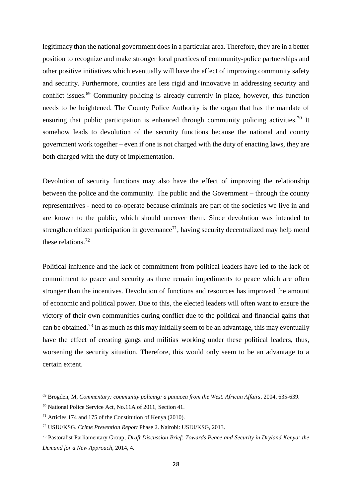legitimacy than the national government does in a particular area. Therefore, they are in a better position to recognize and make stronger local practices of community-police partnerships and other positive initiatives which eventually will have the effect of improving community safety and security. Furthermore, counties are less rigid and innovative in addressing security and conflict issues.<sup>69</sup> Community policing is already currently in place, however, this function needs to be heightened. The County Police Authority is the organ that has the mandate of ensuring that public participation is enhanced through community policing activities.<sup>70</sup> It somehow leads to devolution of the security functions because the national and county government work together – even if one is not charged with the duty of enacting laws, they are both charged with the duty of implementation.

Devolution of security functions may also have the effect of improving the relationship between the police and the community. The public and the Government – through the county representatives - need to co-operate because criminals are part of the societies we live in and are known to the public, which should uncover them. Since devolution was intended to strengthen citizen participation in governance<sup>71</sup>, having security decentralized may help mend these relations. $72$ 

Political influence and the lack of commitment from political leaders have led to the lack of commitment to peace and security as there remain impediments to peace which are often stronger than the incentives. Devolution of functions and resources has improved the amount of economic and political power. Due to this, the elected leaders will often want to ensure the victory of their own communities during conflict due to the political and financial gains that can be obtained.<sup>73</sup> In as much as this may initially seem to be an advantage, this may eventually have the effect of creating gangs and militias working under these political leaders, thus, worsening the security situation. Therefore, this would only seem to be an advantage to a certain extent.

 $\overline{a}$ 

<sup>69</sup> Brogden, M, *Commentary: community policing: a panacea from the West. African Affairs*, 2004, 635-639.

<sup>70</sup> National Police Service Act, No.11A of 2011, Section 41.

<sup>71</sup> Articles 174 and 175 of the Constitution of Kenya (2010).

<sup>72</sup> USIU/KSG. *Crime Prevention Report* Phase 2. Nairobi: USIU/KSG, 2013.

<sup>73</sup> Pastoralist Parliamentary Group*, Draft Discussion Brief: Towards Peace and Security in Dryland Kenya: the Demand for a New Approach,* 2014, 4.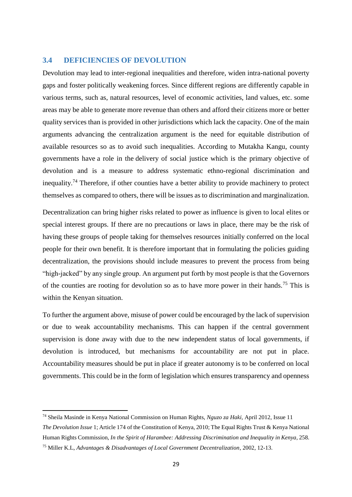#### <span id="page-28-0"></span>**3.4 DEFICIENCIES OF DEVOLUTION**

Devolution may lead to inter-regional inequalities and therefore, widen intra-national poverty gaps and foster politically weakening forces. Since different regions are differently capable in various terms, such as, natural resources, level of economic activities, land values, etc. some areas may be able to generate more revenue than others and afford their citizens more or better quality services than is provided in other jurisdictions which lack the capacity. One of the main arguments advancing the centralization argument is the need for equitable distribution of available resources so as to avoid such inequalities. According to Mutakha Kangu, county governments have a role in the delivery of social justice which is the primary objective of devolution and is a measure to address systematic ethno-regional discrimination and inequality.<sup>74</sup> Therefore, if other counties have a better ability to provide machinery to protect themselves as compared to others, there will be issues as to discrimination and marginalization.

Decentralization can bring higher risks related to power as influence is given to local elites or special interest groups. If there are no precautions or laws in place, there may be the risk of having these groups of people taking for themselves resources initially conferred on the local people for their own benefit. It is therefore important that in formulating the policies guiding decentralization, the provisions should include measures to prevent the process from being "high-jacked" by any single group. An argument put forth by most people is that the Governors of the counties are rooting for devolution so as to have more power in their hands.<sup>75</sup> This is within the Kenyan situation.

To further the argument above, misuse of power could be encouraged by the lack of supervision or due to weak accountability mechanisms. This can happen if the central government supervision is done away with due to the new independent status of local governments, if devolution is introduced, but mechanisms for accountability are not put in place. Accountability measures should be put in place if greater autonomy is to be conferred on local governments. This could be in the form of legislation which ensures transparency and openness

<sup>74</sup> Sheila Masinde in Kenya National Commission on Human Rights, *Nguzo za Haki,* April 2012, Issue 11 *The Devolution Issue* 1; Article 174 of the Constitution of Kenya, 2010; The Equal Rights Trust & Kenya National Human Rights Commission, *In the Spirit of Harambee: Addressing Discrimination and Inequality in Kenya*, 258.

<sup>75</sup> Miller K.L, *Advantages & Disadvantages of Local Government Decentralization*, 2002, 12-13.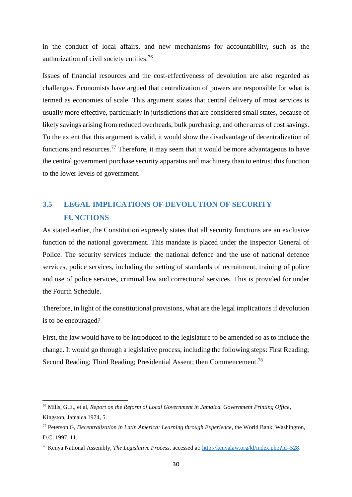in the conduct of local affairs, and new mechanisms for accountability, such as the authorization of civil society entities.<sup>76</sup>

Issues of financial resources and the cost-effectiveness of devolution are also regarded as challenges. Economists have argued that centralization of powers are responsible for what is termed as economies of scale. This argument states that central delivery of most services is usually more effective, particularly in jurisdictions that are considered small states, because of likely savings arising from reduced overheads, bulk purchasing, and other areas of cost savings. To the extent that this argument is valid, it would show the disadvantage of decentralization of functions and resources.<sup>77</sup> Therefore, it may seem that it would be more advantageous to have the central government purchase security apparatus and machinery than to entrust this function to the lower levels of government.

# <span id="page-29-0"></span>**3.5 LEGAL IMPLICATIONS OF DEVOLUTION OF SECURITY FUNCTIONS**

As stated earlier, the Constitution expressly states that all security functions are an exclusive function of the national government. This mandate is placed under the Inspector General of Police. The security services include: the national defence and the use of national defence services, police services, including the setting of standards of recruitment, training of police and use of police services, criminal law and correctional services. This is provided for under the Fourth Schedule.

Therefore, in light of the constitutional provisions, what are the legal implications if devolution is to be encouraged?

First, the law would have to be introduced to the legislature to be amended so as to include the change. It would go through a legislative process, including the following steps: First Reading; Second Reading; Third Reading; Presidential Assent; then Commencement.<sup>78</sup>

<sup>76</sup> Mills, G.E., et al, *Report on the Reform of Local Government in Jamaica. Government Printing Office*, Kingston, Jamaica 1974, 5.

<sup>77</sup> Peterson G, *Decentralization in Latin America: Learning through Experience*, the World Bank, Washington, D.C, 1997, 11.

<sup>78</sup> Kenya National Assembly, *The Legislative Process*, accessed at: [http://kenyalaw.org/kl/index.php?id=528.](http://kenyalaw.org/kl/index.php?id=528)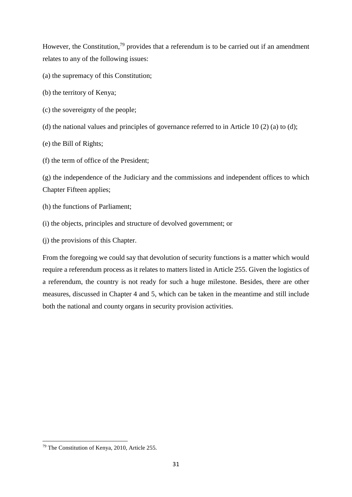However, the Constitution,<sup>79</sup> provides that a referendum is to be carried out if an amendment relates to any of the following issues:

- (a) the supremacy of this Constitution;
- (b) the territory of Kenya;
- (c) the sovereignty of the people;
- (d) the national values and principles of governance referred to in Article 10 (2) (a) to (d);
- (e) the Bill of Rights;
- (f) the term of office of the President;

(g) the independence of the Judiciary and the commissions and independent offices to which Chapter Fifteen applies;

- (h) the functions of Parliament;
- (i) the objects, principles and structure of devolved government; or
- (j) the provisions of this Chapter.

From the foregoing we could say that devolution of security functions is a matter which would require a referendum process as it relates to matters listed in Article 255. Given the logistics of a referendum, the country is not ready for such a huge milestone. Besides, there are other measures, discussed in Chapter 4 and 5, which can be taken in the meantime and still include both the national and county organs in security provision activities.

<sup>79</sup> The Constitution of Kenya, 2010, Article 255.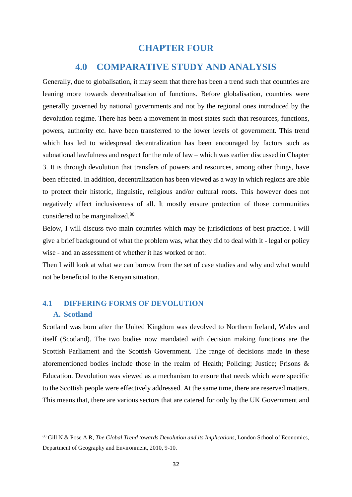# **CHAPTER FOUR**

# **4.0 COMPARATIVE STUDY AND ANALYSIS**

<span id="page-31-1"></span><span id="page-31-0"></span>Generally, due to globalisation, it may seem that there has been a trend such that countries are leaning more towards decentralisation of functions. Before globalisation, countries were generally governed by national governments and not by the regional ones introduced by the devolution regime. There has been a movement in most states such that resources, functions, powers, authority etc. have been transferred to the lower levels of government. This trend which has led to widespread decentralization has been encouraged by factors such as subnational lawfulness and respect for the rule of law – which was earlier discussed in Chapter 3. It is through devolution that transfers of powers and resources, among other things, have been effected. In addition, decentralization has been viewed as a way in which regions are able to protect their historic, linguistic, religious and/or cultural roots. This however does not negatively affect inclusiveness of all. It mostly ensure protection of those communities considered to be marginalized.<sup>80</sup>

Below, I will discuss two main countries which may be jurisdictions of best practice. I will give a brief background of what the problem was, what they did to deal with it - legal or policy wise - and an assessment of whether it has worked or not.

Then I will look at what we can borrow from the set of case studies and why and what would not be beneficial to the Kenyan situation.

# <span id="page-31-3"></span><span id="page-31-2"></span>**4.1 DIFFERING FORMS OF DEVOLUTION A. Scotland**

1

Scotland was born after the United Kingdom was devolved to Northern Ireland, Wales and itself (Scotland). The two bodies now mandated with decision making functions are the Scottish Parliament and the Scottish Government. The range of decisions made in these aforementioned bodies include those in the realm of Health; Policing; Justice; Prisons & Education. Devolution was viewed as a mechanism to ensure that needs which were specific to the Scottish people were effectively addressed. At the same time, there are reserved matters. This means that, there are various sectors that are catered for only by the UK Government and

<sup>80</sup> Gill N & Pose A R, *The Global Trend towards Devolution and its Implications*, London School of Economics, Department of Geography and Environment, 2010, 9-10.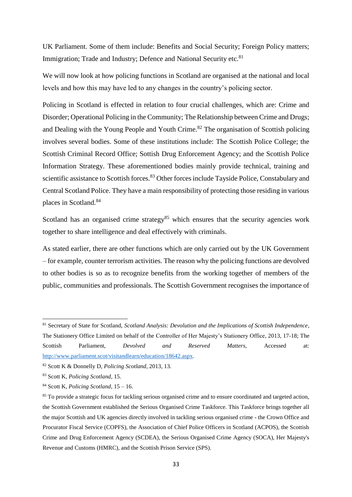UK Parliament. Some of them include: Benefits and Social Security; Foreign Policy matters; Immigration; Trade and Industry; Defence and National Security etc.<sup>81</sup>

We will now look at how policing functions in Scotland are organised at the national and local levels and how this may have led to any changes in the country's policing sector.

Policing in Scotland is effected in relation to four crucial challenges, which are: Crime and Disorder; Operational Policing in the Community; The Relationship between Crime and Drugs; and Dealing with the Young People and Youth Crime.<sup>82</sup> The organisation of Scottish policing involves several bodies. Some of these institutions include: The Scottish Police College; the Scottish Criminal Record Office; Sottish Drug Enforcement Agency; and the Scottish Police Information Strategy. These aforementioned bodies mainly provide technical, training and scientific assistance to Scottish forces.<sup>83</sup> Other forces include Tayside Police, Constabulary and Central Scotland Police. They have a main responsibility of protecting those residing in various places in Scotland.<sup>84</sup>

Scotland has an organised crime strategy<sup>85</sup> which ensures that the security agencies work together to share intelligence and deal effectively with criminals.

As stated earlier, there are other functions which are only carried out by the UK Government – for example, counter terrorism activities. The reason why the policing functions are devolved to other bodies is so as to recognize benefits from the working together of members of the public, communities and professionals. The Scottish Government recognises the importance of

**.** 

<sup>81</sup> Secretary of State for Scotland, *Scotland Analysis: Devolution and the Implications of Scottish Independence*, The Stationery Office Limited on behalf of the Controller of Her Majesty's Stationery Office, 2013, 17-18; The Scottish Parliament, *Devolved and Reserved Matters*, Accessed at: [http://www.parliament.scot/visitandlearn/education/18642.aspx.](http://www.parliament.scot/visitandlearn/education/18642.aspx)

<sup>82</sup> Scott K & Donnelly D, *Policing Scotland*, 2013, 13.

<sup>83</sup> Scott K, *Policing Scotland*, 15.

<sup>84</sup> Scott K, *Policing Scotland*, 15 – 16.

<sup>&</sup>lt;sup>85</sup> To provide a strategic focus for tackling serious organised crime and to ensure coordinated and targeted action, the Scottish Government established the Serious Organised Crime Taskforce. This Taskforce brings together all the major Scottish and UK agencies directly involved in tackling serious organised crime - the Crown Office and Procurator Fiscal Service (COPFS), the Association of Chief Police Officers in Scotland (ACPOS), the Scottish Crime and Drug Enforcement Agency (SCDEA), the Serious Organised Crime Agency (SOCA), Her Majesty's Revenue and Customs (HMRC), and the Scottish Prison Service (SPS).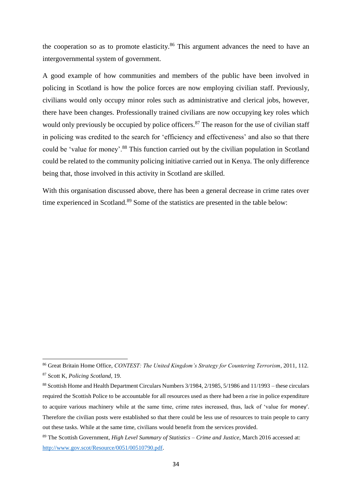the cooperation so as to promote elasticity.<sup>86</sup> This argument advances the need to have an intergovernmental system of government.

A good example of how communities and members of the public have been involved in policing in Scotland is how the police forces are now employing civilian staff. Previously, civilians would only occupy minor roles such as administrative and clerical jobs, however, there have been changes. Professionally trained civilians are now occupying key roles which would only previously be occupied by police officers.<sup>87</sup> The reason for the use of civilian staff in policing was credited to the search for 'efficiency and effectiveness' and also so that there could be 'value for money'.<sup>88</sup> This function carried out by the civilian population in Scotland could be related to the community policing initiative carried out in Kenya. The only difference being that, those involved in this activity in Scotland are skilled.

With this organisation discussed above, there has been a general decrease in crime rates over time experienced in Scotland.<sup>89</sup> Some of the statistics are presented in the table below:

<sup>86</sup> Great Britain Home Office, *CONTEST: The United Kingdom's Strategy for Countering Terrorism*, 2011, 112. <sup>87</sup> Scott K, *Policing Scotland*, 19.

<sup>88</sup> Scottish Home and Health Department Circulars Numbers 3/1984, 2/1985, 5/1986 and 11/1993 – these circulars required the Scottish Police to be accountable for all resources used as there had been a rise in police expenditure to acquire various machinery while at the same time, crime rates increased, thus, lack of 'value for money'. Therefore the civilian posts were established so that there could be less use of resources to train people to carry out these tasks. While at the same time, civilians would benefit from the services provided.

<sup>89</sup> The Scottish Government, *High Level Summary of Statistics – Crime and Justice*, March 2016 accessed at: [http://www.gov.scot/Resource/0051/00510790.pdf.](http://www.gov.scot/Resource/0051/00510790.pdf)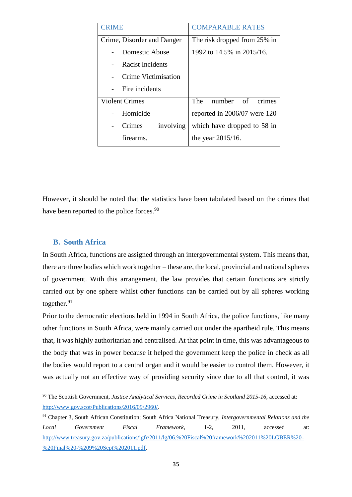| <b>CRIME</b>               | <b>COMPARABLE RATES</b>      |  |  |
|----------------------------|------------------------------|--|--|
| Crime, Disorder and Danger | The risk dropped from 25% in |  |  |
| Domestic Abuse             | 1992 to 14.5% in 2015/16.    |  |  |
| Racist Incidents           |                              |  |  |
| Crime Victimisation        |                              |  |  |
| Fire incidents             |                              |  |  |
| Violent Crimes             | number of<br>The 1<br>crimes |  |  |
| Homicide                   | reported in 2006/07 were 120 |  |  |
| involving<br>Crimes        | which have dropped to 58 in  |  |  |
| firearms.                  | the year $2015/16$ .         |  |  |

However, it should be noted that the statistics have been tabulated based on the crimes that have been reported to the police forces.<sup>90</sup>

# <span id="page-34-0"></span>**B. South Africa**

 $\overline{a}$ 

In South Africa, functions are assigned through an intergovernmental system. This means that, there are three bodies which work together – these are, the local, provincial and national spheres of government. With this arrangement, the law provides that certain functions are strictly carried out by one sphere whilst other functions can be carried out by all spheres working together.<sup>91</sup>

Prior to the democratic elections held in 1994 in South Africa, the police functions, like many other functions in South Africa, were mainly carried out under the apartheid rule. This means that, it was highly authoritarian and centralised. At that point in time, this was advantageous to the body that was in power because it helped the government keep the police in check as all the bodies would report to a central organ and it would be easier to control them. However, it was actually not an effective way of providing security since due to all that control, it was

<sup>90</sup> The Scottish Government, *Justice Analytical Services, Recorded Crime in Scotland 2015-16*, accessed at: [http://www.gov.scot/Publications/2016/09/2960/.](http://www.gov.scot/Publications/2016/09/2960/)

<sup>91</sup> Chapter 3, South African Constitution; South Africa National Treasury, *Intergovernmental Relations and the Local Government Fiscal Framework*, 1-2, 2011, accessed at: [http://www.treasury.gov.za/publications/igfr/2011/lg/06.%20Fiscal%20framework%202011%20LGBER%20-](http://www.treasury.gov.za/publications/igfr/2011/lg/06.%20Fiscal%20framework%202011%20LGBER%20-%20Final%20-%209%20Sept%202011.pdf) [%20Final%20-%209%20Sept%202011.pdf.](http://www.treasury.gov.za/publications/igfr/2011/lg/06.%20Fiscal%20framework%202011%20LGBER%20-%20Final%20-%209%20Sept%202011.pdf)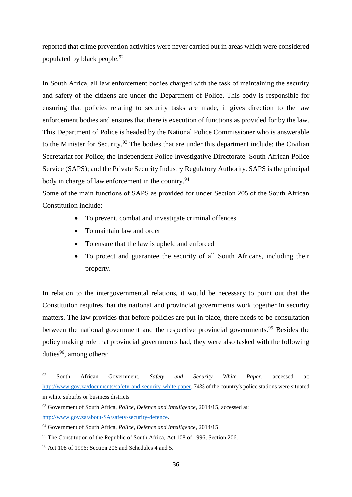reported that crime prevention activities were never carried out in areas which were considered populated by black people.<sup>92</sup>

In South Africa, all law enforcement bodies charged with the task of maintaining the security and safety of the citizens are under the Department of Police. This body is responsible for ensuring that policies relating to security tasks are made, it gives direction to the law enforcement bodies and ensures that there is execution of functions as provided for by the law. This Department of Police is headed by the National Police Commissioner who is answerable to the Minister for Security.<sup>93</sup> The bodies that are under this department include: the Civilian Secretariat for Police; the Independent Police Investigative Directorate; South African Police Service (SAPS); and the Private Security Industry Regulatory Authority. SAPS is the principal body in charge of law enforcement in the country.<sup>94</sup>

Some of the main functions of SAPS as provided for under Section 205 of the South African Constitution include:

- To prevent, combat and investigate criminal offences
- To maintain law and order
- To ensure that the law is upheld and enforced
- To protect and guarantee the security of all South Africans, including their property.

In relation to the intergovernmental relations, it would be necessary to point out that the Constitution requires that the national and provincial governments work together in security matters. The law provides that before policies are put in place, there needs to be consultation between the national government and the respective provincial governments.<sup>95</sup> Besides the policy making role that provincial governments had, they were also tasked with the following duties $96$ , among others:

<sup>92</sup> <sup>92</sup> South African Government, *Safety and Security White Paper*, accessed at: [http://www.gov.za/documents/safety-and-security-white-paper.](http://www.gov.za/documents/safety-and-security-white-paper) 74% of the country's police stations were situated in white suburbs or business districts

<sup>93</sup> Government of South Africa, *Police, Defence and Intelligence*, 2014/15, accessed at: [http://www.gov.za/about-SA/safety-security-defence.](http://www.gov.za/about-SA/safety-security-defence)

<sup>94</sup> Government of South Africa, *Police, Defence and Intelligence*, 2014/15.

<sup>&</sup>lt;sup>95</sup> The Constitution of the Republic of South Africa, Act 108 of 1996, Section 206.

<sup>96</sup> Act 108 of 1996: Section 206 and Schedules 4 and 5.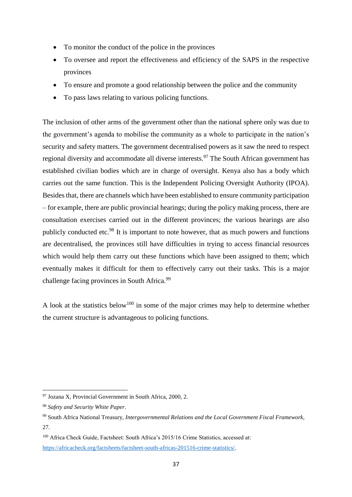- To monitor the conduct of the police in the provinces
- To oversee and report the effectiveness and efficiency of the SAPS in the respective provinces
- To ensure and promote a good relationship between the police and the community
- To pass laws relating to various policing functions.

The inclusion of other arms of the government other than the national sphere only was due to the government's agenda to mobilise the community as a whole to participate in the nation's security and safety matters. The government decentralised powers as it saw the need to respect regional diversity and accommodate all diverse interests.<sup>97</sup> The South African government has established civilian bodies which are in charge of oversight. Kenya also has a body which carries out the same function. This is the Independent Policing Oversight Authority (IPOA). Besides that, there are channels which have been established to ensure community participation – for example, there are public provincial hearings; during the policy making process, there are consultation exercises carried out in the different provinces; the various hearings are also publicly conducted etc.<sup>98</sup> It is important to note however, that as much powers and functions are decentralised, the provinces still have difficulties in trying to access financial resources which would help them carry out these functions which have been assigned to them; which eventually makes it difficult for them to effectively carry out their tasks. This is a major challenge facing provinces in South Africa.<sup>99</sup>

A look at the statistics below<sup>100</sup> in some of the major crimes may help to determine whether the current structure is advantageous to policing functions.

 $\overline{a}$ 

<sup>97</sup> Jozana X, Provincial Government in South Africa, 2000, 2.

<sup>98</sup> *Safety and Security White Paper*.

<sup>99</sup> South Africa National Treasury, *Intergovernmental Relations and the Local Government Fiscal Framework,*  27.

<sup>100</sup> Africa Check Guide, Factsheet: South Africa's 2015/16 Crime Statistics, accessed at: [https://africacheck.org/factsheets/factsheet-south-africas-201516-crime-statistics/.](https://africacheck.org/factsheets/factsheet-south-africas-201516-crime-statistics/)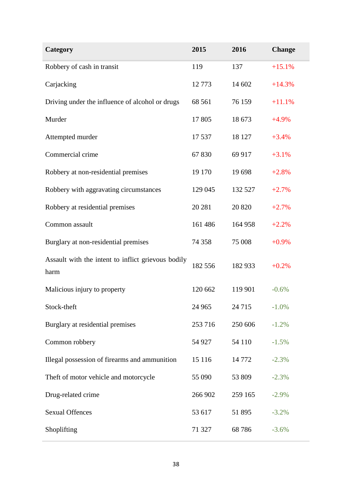| Category                                                   | 2015    | 2016    | <b>Change</b> |
|------------------------------------------------------------|---------|---------|---------------|
| Robbery of cash in transit                                 | 119     | 137     | $+15.1%$      |
| Carjacking                                                 | 12773   | 14 602  | $+14.3%$      |
| Driving under the influence of alcohol or drugs            | 68 5 61 | 76 159  | $+11.1%$      |
| Murder                                                     | 17805   | 18 673  | $+4.9%$       |
| Attempted murder                                           | 17 537  | 18 127  | $+3.4%$       |
| Commercial crime                                           | 67830   | 69 917  | $+3.1%$       |
| Robbery at non-residential premises                        | 19 170  | 19 698  | $+2.8%$       |
| Robbery with aggravating circumstances                     | 129 045 | 132 527 | $+2.7%$       |
| Robbery at residential premises                            | 20 28 1 | 20 820  | $+2.7%$       |
| Common assault                                             | 161 486 | 164 958 | $+2.2%$       |
| Burglary at non-residential premises                       | 74 358  | 75 008  | $+0.9%$       |
| Assault with the intent to inflict grievous bodily<br>harm | 182 556 | 182 933 | $+0.2%$       |
| Malicious injury to property                               | 120 662 | 119 901 | $-0.6%$       |
| Stock-theft                                                | 24 965  | 24 7 15 | $-1.0\%$      |
| Burglary at residential premises                           | 253 716 | 250 606 | $-1.2%$       |
| Common robbery                                             | 54 927  | 54 110  | $-1.5%$       |
| Illegal possession of firearms and ammunition              | 15 116  | 14772   | $-2.3%$       |
| Theft of motor vehicle and motorcycle                      | 55 090  | 53 809  | $-2.3%$       |
| Drug-related crime                                         | 266 902 | 259 165 | $-2.9%$       |
| <b>Sexual Offences</b>                                     | 53 617  | 51 895  | $-3.2%$       |
| Shoplifting                                                | 71 327  | 68786   | $-3.6%$       |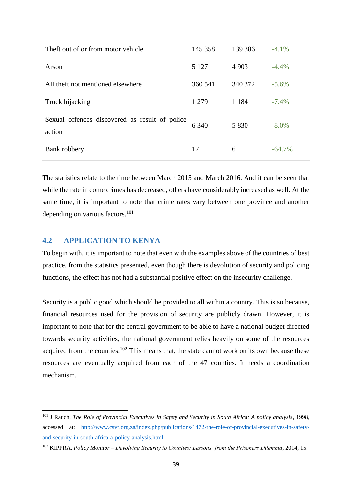| Theft out of or from motor vehicle                       | 145 358 | 139 386 | $-4.1%$   |
|----------------------------------------------------------|---------|---------|-----------|
| Arson                                                    | 5 1 2 7 | 4 9 0 3 | $-4.4%$   |
| All theft not mentioned elsewhere                        | 360 541 | 340 372 | $-5.6\%$  |
| Truck hijacking                                          | 1 2 7 9 | 1 1 8 4 | $-7.4\%$  |
| Sexual offences discovered as result of police<br>action | 6 3 4 0 | 5 8 3 0 | $-8.0\%$  |
| Bank robbery                                             | 17      | 6       | $-64.7\%$ |

The statistics relate to the time between March 2015 and March 2016. And it can be seen that while the rate in come crimes has decreased, others have considerably increased as well. At the same time, it is important to note that crime rates vary between one province and another depending on various factors.<sup>101</sup>

### <span id="page-38-0"></span>**4.2 APPLICATION TO KENYA**

1

To begin with, it is important to note that even with the examples above of the countries of best practice, from the statistics presented, even though there is devolution of security and policing functions, the effect has not had a substantial positive effect on the insecurity challenge.

Security is a public good which should be provided to all within a country. This is so because, financial resources used for the provision of security are publicly drawn. However, it is important to note that for the central government to be able to have a national budget directed towards security activities, the national government relies heavily on some of the resources acquired from the counties.<sup>102</sup> This means that, the state cannot work on its own because these resources are eventually acquired from each of the 47 counties. It needs a coordination mechanism.

<sup>101</sup> J Rauch, *The Role of Provincial Executives in Safety and Security in South Africa: A policy analysis*, 1998, accessed at: [http://www.csvr.org.za/index.php/publications/1472-the-role-of-provincial-executives-in-safety](http://www.csvr.org.za/index.php/publications/1472-the-role-of-provincial-executives-in-safety-and-security-in-south-africa-a-policy-analysis.html)[and-security-in-south-africa-a-policy-analysis.html.](http://www.csvr.org.za/index.php/publications/1472-the-role-of-provincial-executives-in-safety-and-security-in-south-africa-a-policy-analysis.html)

<sup>102</sup> KIPPRA, *Policy Monitor – Devolving Security to Counties: Lessons' from the Prisoners Dilemma*, 2014, 15.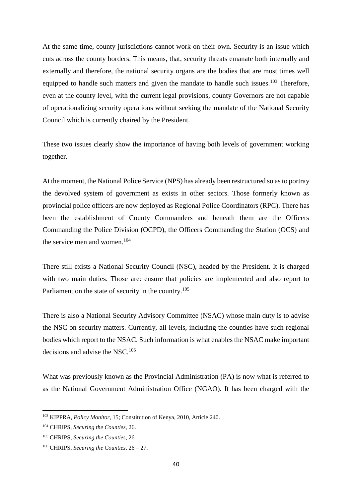At the same time, county jurisdictions cannot work on their own. Security is an issue which cuts across the county borders. This means, that, security threats emanate both internally and externally and therefore, the national security organs are the bodies that are most times well equipped to handle such matters and given the mandate to handle such issues.<sup>103</sup> Therefore, even at the county level, with the current legal provisions, county Governors are not capable of operationalizing security operations without seeking the mandate of the National Security Council which is currently chaired by the President.

These two issues clearly show the importance of having both levels of government working together.

At the moment, the National Police Service (NPS) has already been restructured so as to portray the devolved system of government as exists in other sectors. Those formerly known as provincial police officers are now deployed as Regional Police Coordinators (RPC). There has been the establishment of County Commanders and beneath them are the Officers Commanding the Police Division (OCPD), the Officers Commanding the Station (OCS) and the service men and women.<sup>104</sup>

There still exists a National Security Council (NSC), headed by the President. It is charged with two main duties. Those are: ensure that policies are implemented and also report to Parliament on the state of security in the country.<sup>105</sup>

There is also a National Security Advisory Committee (NSAC) whose main duty is to advise the NSC on security matters. Currently, all levels, including the counties have such regional bodies which report to the NSAC. Such information is what enables the NSAC make important decisions and advise the NSC.<sup>106</sup>

What was previously known as the Provincial Administration (PA) is now what is referred to as the National Government Administration Office (NGAO). It has been charged with the

<sup>103</sup> KIPPRA, *Policy Monitor*, 15; Constitution of Kenya, 2010, Article 240.

<sup>104</sup> CHRIPS, *Securing the Counties*, 26.

<sup>105</sup> CHRIPS, *Securing the Counties,* 26

<sup>106</sup> CHRIPS, *Securing the Counties,* 26 – 27.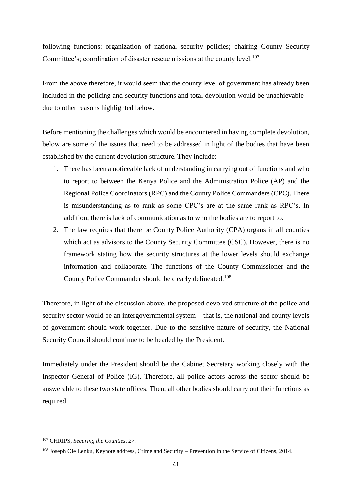following functions: organization of national security policies; chairing County Security Committee's; coordination of disaster rescue missions at the county level.<sup>107</sup>

From the above therefore, it would seem that the county level of government has already been included in the policing and security functions and total devolution would be unachievable – due to other reasons highlighted below.

Before mentioning the challenges which would be encountered in having complete devolution, below are some of the issues that need to be addressed in light of the bodies that have been established by the current devolution structure. They include:

- 1. There has been a noticeable lack of understanding in carrying out of functions and who to report to between the Kenya Police and the Administration Police (AP) and the Regional Police Coordinators (RPC) and the County Police Commanders (CPC). There is misunderstanding as to rank as some CPC's are at the same rank as RPC's. In addition, there is lack of communication as to who the bodies are to report to.
- 2. The law requires that there be County Police Authority (CPA) organs in all counties which act as advisors to the County Security Committee (CSC). However, there is no framework stating how the security structures at the lower levels should exchange information and collaborate. The functions of the County Commissioner and the County Police Commander should be clearly delineated. 108

Therefore, in light of the discussion above, the proposed devolved structure of the police and security sector would be an intergovernmental system – that is, the national and county levels of government should work together. Due to the sensitive nature of security, the National Security Council should continue to be headed by the President.

Immediately under the President should be the Cabinet Secretary working closely with the Inspector General of Police (IG). Therefore, all police actors across the sector should be answerable to these two state offices. Then, all other bodies should carry out their functions as required.

 $\overline{a}$ 

<sup>107</sup> CHRIPS, *Securing the Counties, 27.* 

<sup>108</sup> Joseph Ole Lenku, Keynote address, Crime and Security – Prevention in the Service of Citizens, 2014.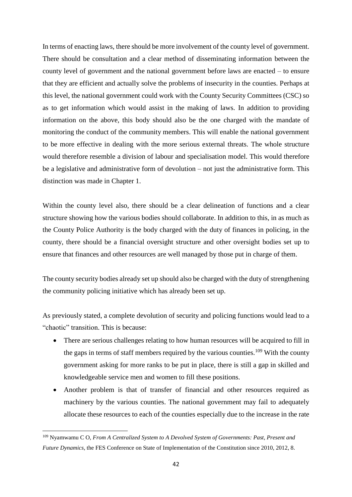In terms of enacting laws, there should be more involvement of the county level of government. There should be consultation and a clear method of disseminating information between the county level of government and the national government before laws are enacted – to ensure that they are efficient and actually solve the problems of insecurity in the counties. Perhaps at this level, the national government could work with the County Security Committees (CSC) so as to get information which would assist in the making of laws. In addition to providing information on the above, this body should also be the one charged with the mandate of monitoring the conduct of the community members. This will enable the national government to be more effective in dealing with the more serious external threats. The whole structure would therefore resemble a division of labour and specialisation model. This would therefore be a legislative and administrative form of devolution – not just the administrative form. This distinction was made in Chapter 1.

Within the county level also, there should be a clear delineation of functions and a clear structure showing how the various bodies should collaborate. In addition to this, in as much as the County Police Authority is the body charged with the duty of finances in policing, in the county, there should be a financial oversight structure and other oversight bodies set up to ensure that finances and other resources are well managed by those put in charge of them.

The county security bodies already set up should also be charged with the duty of strengthening the community policing initiative which has already been set up.

As previously stated, a complete devolution of security and policing functions would lead to a "chaotic" transition. This is because:

- There are serious challenges relating to how human resources will be acquired to fill in the gaps in terms of staff members required by the various counties.<sup>109</sup> With the county government asking for more ranks to be put in place, there is still a gap in skilled and knowledgeable service men and women to fill these positions.
- Another problem is that of transfer of financial and other resources required as machinery by the various counties. The national government may fail to adequately allocate these resources to each of the counties especially due to the increase in the rate

<sup>109</sup> Nyamwamu C O, *From A Centralized System to A Devolved System of Governments: Past, Present and Future Dynamics*, the FES Conference on State of Implementation of the Constitution since 2010, 2012, 8.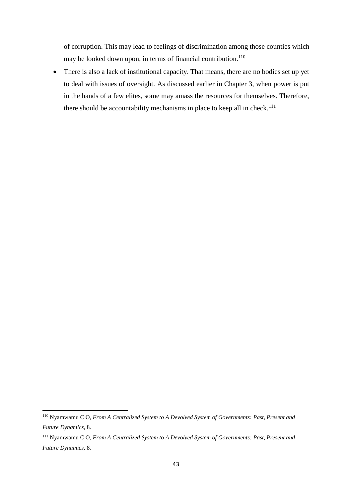of corruption. This may lead to feelings of discrimination among those counties which may be looked down upon, in terms of financial contribution.<sup>110</sup>

 There is also a lack of institutional capacity. That means, there are no bodies set up yet to deal with issues of oversight. As discussed earlier in Chapter 3, when power is put in the hands of a few elites, some may amass the resources for themselves. Therefore, there should be accountability mechanisms in place to keep all in check.<sup>111</sup>

<sup>110</sup> Nyamwamu C O, *From A Centralized System to A Devolved System of Governments: Past, Present and Future Dynamics,* 8.

<sup>111</sup> Nyamwamu C O, *From A Centralized System to A Devolved System of Governments: Past, Present and Future Dynamics,* 8*.*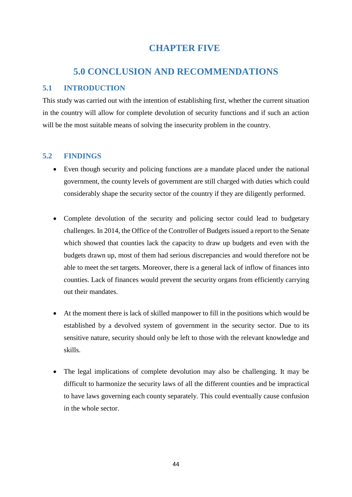# **CHAPTER FIVE**

# <span id="page-43-0"></span>**5.0 CONCLUSION AND RECOMMENDATIONS**

# <span id="page-43-2"></span><span id="page-43-1"></span>**5.1 INTRODUCTION**

This study was carried out with the intention of establishing first, whether the current situation in the country will allow for complete devolution of security functions and if such an action will be the most suitable means of solving the insecurity problem in the country.

# <span id="page-43-3"></span>**5.2 FINDINGS**

- Even though security and policing functions are a mandate placed under the national government, the county levels of government are still charged with duties which could considerably shape the security sector of the country if they are diligently performed.
- Complete devolution of the security and policing sector could lead to budgetary challenges. In 2014, the Office of the Controller of Budgets issued a report to the Senate which showed that counties lack the capacity to draw up budgets and even with the budgets drawn up, most of them had serious discrepancies and would therefore not be able to meet the set targets. Moreover, there is a general lack of inflow of finances into counties. Lack of finances would prevent the security organs from efficiently carrying out their mandates.
- At the moment there is lack of skilled manpower to fill in the positions which would be established by a devolved system of government in the security sector. Due to its sensitive nature, security should only be left to those with the relevant knowledge and skills.
- The legal implications of complete devolution may also be challenging. It may be difficult to harmonize the security laws of all the different counties and be impractical to have laws governing each county separately. This could eventually cause confusion in the whole sector.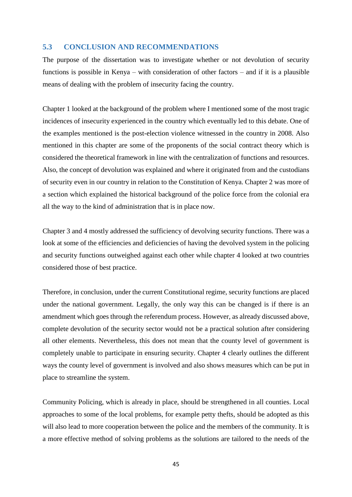# <span id="page-44-0"></span>**5.3 CONCLUSION AND RECOMMENDATIONS**

The purpose of the dissertation was to investigate whether or not devolution of security functions is possible in Kenya – with consideration of other factors – and if it is a plausible means of dealing with the problem of insecurity facing the country.

Chapter 1 looked at the background of the problem where I mentioned some of the most tragic incidences of insecurity experienced in the country which eventually led to this debate. One of the examples mentioned is the post-election violence witnessed in the country in 2008. Also mentioned in this chapter are some of the proponents of the social contract theory which is considered the theoretical framework in line with the centralization of functions and resources. Also, the concept of devolution was explained and where it originated from and the custodians of security even in our country in relation to the Constitution of Kenya. Chapter 2 was more of a section which explained the historical background of the police force from the colonial era all the way to the kind of administration that is in place now.

Chapter 3 and 4 mostly addressed the sufficiency of devolving security functions. There was a look at some of the efficiencies and deficiencies of having the devolved system in the policing and security functions outweighed against each other while chapter 4 looked at two countries considered those of best practice.

Therefore, in conclusion, under the current Constitutional regime, security functions are placed under the national government. Legally, the only way this can be changed is if there is an amendment which goes through the referendum process. However, as already discussed above, complete devolution of the security sector would not be a practical solution after considering all other elements. Nevertheless, this does not mean that the county level of government is completely unable to participate in ensuring security. Chapter 4 clearly outlines the different ways the county level of government is involved and also shows measures which can be put in place to streamline the system.

Community Policing, which is already in place, should be strengthened in all counties. Local approaches to some of the local problems, for example petty thefts, should be adopted as this will also lead to more cooperation between the police and the members of the community. It is a more effective method of solving problems as the solutions are tailored to the needs of the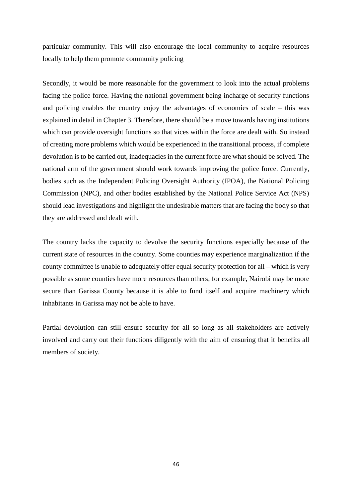particular community. This will also encourage the local community to acquire resources locally to help them promote community policing

Secondly, it would be more reasonable for the government to look into the actual problems facing the police force. Having the national government being incharge of security functions and policing enables the country enjoy the advantages of economies of scale – this was explained in detail in Chapter 3. Therefore, there should be a move towards having institutions which can provide oversight functions so that vices within the force are dealt with. So instead of creating more problems which would be experienced in the transitional process, if complete devolution is to be carried out, inadequacies in the current force are what should be solved. The national arm of the government should work towards improving the police force. Currently, bodies such as the Independent Policing Oversight Authority (IPOA), the National Policing Commission (NPC), and other bodies established by the National Police Service Act (NPS) should lead investigations and highlight the undesirable matters that are facing the body so that they are addressed and dealt with.

The country lacks the capacity to devolve the security functions especially because of the current state of resources in the country. Some counties may experience marginalization if the county committee is unable to adequately offer equal security protection for all – which is very possible as some counties have more resources than others; for example, Nairobi may be more secure than Garissa County because it is able to fund itself and acquire machinery which inhabitants in Garissa may not be able to have.

Partial devolution can still ensure security for all so long as all stakeholders are actively involved and carry out their functions diligently with the aim of ensuring that it benefits all members of society.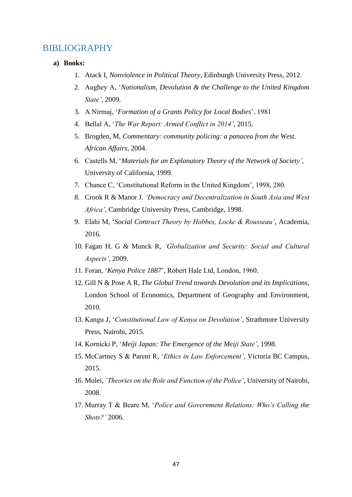# <span id="page-46-0"></span>BIBLIOGRAPHY

- **a) Books:**
	- 1. Atack I, *Nonviolence in Political Theory*, Edinburgh University Press, 2012.
	- 2. Aughey A, '*Nationalism, Devolution & the Challenge to the United Kingdom State'*, 2009.
	- 3. A Nirmaj, '*Formation of a Grants Policy for Local Bodies*', 1981
	- 4. Bellal A, '*The War Report: Armed Conflict in 2014'*, 2015.
	- 5. Brogden, M, *Commentary: community policing: a panacea from the West. African Affairs*, 2004.
	- 6. Castells M, '*Materials for an Explanatory Theory of the Network of Society'*, University of California, 1999.
	- 7. Chance C, 'Constitutional Reform in the United Kingdom', 1998, 280.
	- 8. Crook R & Manor J*, 'Democracy and Decentralization in South Asia and West Africa'*, Cambridge University Press, Cambridge, 1998.
	- 9. Elahi M, '*Social Contract Theory by Hobbes, Locke & Rousseau'*, Academia, 2016.
	- 10. Fagan H. G & Munck R, *'Globalization and Security: Social and Cultural Aspects'*, 2009.
	- 11. Foran, '*Kenya Police 1887*', Robert Hale Ltd, London, 1960.
	- 12. Gill N & Pose A R, *The Global Trend towards Devolution and its Implications*, London School of Economics, Department of Geography and Environment, 2010.
	- 13. Kangu J, '*Constitutional Law of Kenya on Devolution'*, Strathmore University Press, Nairobi, 2015.
	- 14. Kornicki P, '*Meiji Japan: The Emergence of the Meiji State'*, 1998.
	- 15. McCartney S & Parent R, '*Ethics in Law Enforcement'*, Victoria BC Campus, 2015.
	- 16. Mulei, *'Theories on the Role and Function of the Police'*, University of Nairobi, 2008.
	- 17. Murray T & Beare M, '*Police and Government Relations: Who's Calling the Shots?'* 2006.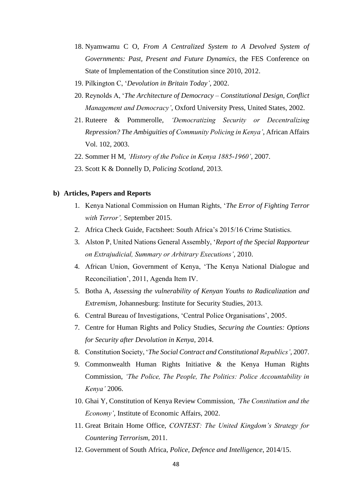- 18. Nyamwamu C O, *From A Centralized System to A Devolved System of Governments: Past, Present and Future Dynamics*, the FES Conference on State of Implementation of the Constitution since 2010, 2012.
- 19. Pilkington C, '*Devolution in Britain Today'*, 2002.
- 20. Reynolds A, '*The Architecture of Democracy – Constitutional Design, Conflict Management and Democracy'*, Oxford University Press, United States, 2002.
- 21. Ruteere & Pommerolle, *'Democratizing Security or Decentralizing Repression? The Ambiguities of Community Policing in Kenya'*, African Affairs Vol. 102, 2003.
- 22. Sommer H M, *'History of the Police in Kenya 1885-1960'*, 2007.
- 23. Scott K & Donnelly D, *Policing Scotland*, 2013.

#### **b) Articles, Papers and Reports**

- 1. Kenya National Commission on Human Rights, '*The Error of Fighting Terror with Terror',* September 2015.
- 2. Africa Check Guide, Factsheet: South Africa's 2015/16 Crime Statistics.
- 3. Alston P, United Nations General Assembly, '*Report of the Special Rapporteur on Extrajudicial, Summary or Arbitrary Executions'*, 2010.
- 4. African Union, Government of Kenya, 'The Kenya National Dialogue and Reconciliation', 2011, Agenda Item IV.
- 5. Botha A, *Assessing the vulnerability of Kenyan Youths to Radicalization and Extremism*, Johannesburg: Institute for Security Studies, 2013.
- 6. Central Bureau of Investigations, 'Central Police Organisations', 2005.
- 7. Centre for Human Rights and Policy Studies, *Securing the Counties: Options for Security after Devolution in Kenya*, 2014.
- 8. Constitution Society, '*The Social Contract and Constitutional Republics'*, 2007.
- 9. Commonwealth Human Rights Initiative & the Kenya Human Rights Commission, *'The Police, The People, The Politics: Police Accountability in Kenya'* 2006.
- 10. Ghai Y, Constitution of Kenya Review Commission, *'The Constitution and the Economy'*, Institute of Economic Affairs, 2002.
- 11. Great Britain Home Office, *CONTEST: The United Kingdom's Strategy for Countering Terrorism*, 2011.
- 12. Government of South Africa, *Police, Defence and Intelligence*, 2014/15.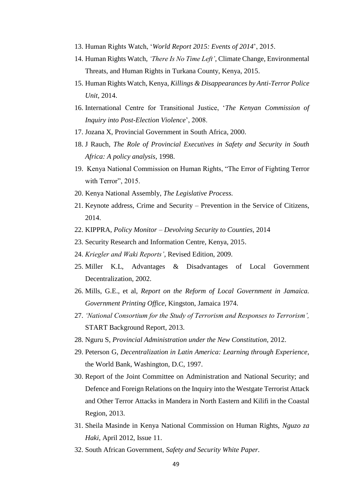- 13. Human Rights Watch, '*World Report 2015: Events of 2014*', 2015.
- 14. Human Rights Watch, *'There Is No Time Left'*, Climate Change, Environmental Threats, and Human Rights in Turkana County, Kenya, 2015.
- 15. Human Rights Watch, Kenya, *Killings & Disappearances by Anti-Terror Police Unit,* 2014.
- 16. International Centre for Transitional Justice, '*The Kenyan Commission of Inquiry into Post-Election Violence*', 2008.
- 17. Jozana X, Provincial Government in South Africa, 2000.
- 18. J Rauch, *The Role of Provincial Executives in Safety and Security in South Africa: A policy analysis*, 1998.
- 19. Kenya National Commission on Human Rights, "The Error of Fighting Terror with Terror", 2015.
- 20. Kenya National Assembly, *The Legislative Process.*
- 21. Keynote address, Crime and Security Prevention in the Service of Citizens, 2014.
- 22. KIPPRA, *Policy Monitor – Devolving Security to Counties,* 2014
- 23. Security Research and Information Centre, Kenya, 2015.
- 24. *Kriegler and Waki Reports'*, Revised Edition, 2009.
- 25. Miller K.L, Advantages & Disadvantages of Local Government Decentralization, 2002.
- 26. Mills, G.E., et al, *Report on the Reform of Local Government in Jamaica. Government Printing Office*, Kingston, Jamaica 1974.
- 27. *'National Consortium for the Study of Terrorism and Responses to Terrorism',*  START Background Report*,* 2013.
- 28. Nguru S, *Provincial Administration under the New Constitution*, 2012.
- 29. Peterson G, *Decentralization in Latin America: Learning through Experience*, the World Bank, Washington, D.C, 1997.
- 30. Report of the Joint Committee on Administration and National Security; and Defence and Foreign Relations on the Inquiry into the Westgate Terrorist Attack and Other Terror Attacks in Mandera in North Eastern and Kilifi in the Coastal Region, 2013.
- 31. Sheila Masinde in Kenya National Commission on Human Rights, *Nguzo za Haki*, April 2012, Issue 11.
- 32. South African Government, *Safety and Security White Paper.*